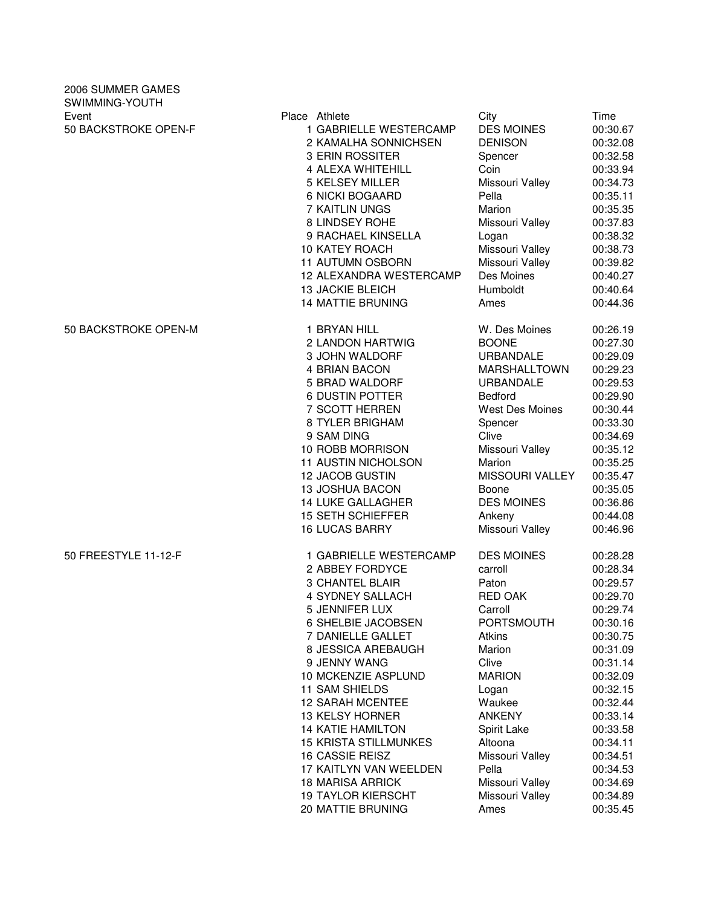| 2006 SUMMER GAMES<br>SWIMMING-YOUTH |                              |                        |          |
|-------------------------------------|------------------------------|------------------------|----------|
| Event                               | Place Athlete                | City                   | Time     |
| 50 BACKSTROKE OPEN-F                | 1 GABRIELLE WESTERCAMP       | <b>DES MOINES</b>      | 00:30.67 |
|                                     | 2 KAMALHA SONNICHSEN         | <b>DENISON</b>         | 00:32.08 |
|                                     | 3 ERIN ROSSITER              | Spencer                | 00:32.58 |
|                                     | 4 ALEXA WHITEHILL            | Coin                   | 00:33.94 |
|                                     | <b>5 KELSEY MILLER</b>       | Missouri Valley        | 00:34.73 |
|                                     | 6 NICKI BOGAARD              | Pella                  | 00:35.11 |
|                                     | 7 KAITLIN UNGS               | Marion                 | 00:35.35 |
|                                     | 8 LINDSEY ROHE               | Missouri Valley        | 00:37.83 |
|                                     | 9 RACHAEL KINSELLA           | Logan                  | 00:38.32 |
|                                     | <b>10 KATEY ROACH</b>        | Missouri Valley        | 00:38.73 |
|                                     | 11 AUTUMN OSBORN             | Missouri Valley        | 00:39.82 |
|                                     | 12 ALEXANDRA WESTERCAMP      | Des Moines             | 00:40.27 |
|                                     | <b>13 JACKIE BLEICH</b>      | Humboldt               | 00:40.64 |
|                                     | <b>14 MATTIE BRUNING</b>     | Ames                   | 00:44.36 |
| 50 BACKSTROKE OPEN-M                |                              |                        |          |
|                                     | 1 BRYAN HILL                 | W. Des Moines          | 00:26.19 |
|                                     | 2 LANDON HARTWIG             | <b>BOONE</b>           | 00:27.30 |
|                                     | 3 JOHN WALDORF               | URBANDALE              | 00:29.09 |
|                                     | 4 BRIAN BACON                | <b>MARSHALLTOWN</b>    | 00:29.23 |
|                                     | 5 BRAD WALDORF               | <b>URBANDALE</b>       | 00:29.53 |
|                                     | <b>6 DUSTIN POTTER</b>       | Bedford                | 00:29.90 |
|                                     | 7 SCOTT HERREN               | <b>West Des Moines</b> | 00:30.44 |
|                                     | 8 TYLER BRIGHAM              | Spencer                | 00:33.30 |
|                                     | 9 SAM DING                   | Clive                  | 00:34.69 |
|                                     | 10 ROBB MORRISON             | Missouri Valley        | 00:35.12 |
|                                     | <b>11 AUSTIN NICHOLSON</b>   | Marion                 | 00:35.25 |
|                                     | 12 JACOB GUSTIN              | MISSOURI VALLEY        | 00:35.47 |
|                                     | <b>13 JOSHUA BACON</b>       | Boone                  | 00:35.05 |
|                                     | <b>14 LUKE GALLAGHER</b>     | <b>DES MOINES</b>      | 00:36.86 |
|                                     | <b>15 SETH SCHIEFFER</b>     | Ankeny                 | 00:44.08 |
|                                     | <b>16 LUCAS BARRY</b>        | Missouri Valley        | 00:46.96 |
| 50 FREESTYLE 11-12-F                | 1 GABRIELLE WESTERCAMP       | <b>DES MOINES</b>      | 00:28.28 |
|                                     | 2 ABBEY FORDYCE              | carroll                | 00:28.34 |
|                                     | <b>3 CHANTEL BLAIR</b>       | Paton                  | 00:29.57 |
|                                     | 4 SYDNEY SALLACH             | RED OAK                | 00:29.70 |
|                                     | 5 JENNIFER LUX               | Carroll                | 00:29.74 |
|                                     | 6 SHELBIE JACOBSEN           | PORTSMOUTH             | 00:30.16 |
|                                     | 7 DANIELLE GALLET            | Atkins                 | 00:30.75 |
|                                     | 8 JESSICA AREBAUGH           | Marion                 | 00:31.09 |
|                                     | 9 JENNY WANG                 | Clive                  | 00:31.14 |
|                                     | 10 MCKENZIE ASPLUND          | <b>MARION</b>          | 00:32.09 |
|                                     | 11 SAM SHIELDS               | Logan                  | 00:32.15 |
|                                     | <b>12 SARAH MCENTEE</b>      | Waukee                 | 00:32.44 |
|                                     | <b>13 KELSY HORNER</b>       | <b>ANKENY</b>          | 00:33.14 |
|                                     | <b>14 KATIE HAMILTON</b>     | Spirit Lake            | 00:33.58 |
|                                     | <b>15 KRISTA STILLMUNKES</b> | Altoona                | 00:34.11 |
|                                     | 16 CASSIE REISZ              | Missouri Valley        | 00:34.51 |
|                                     | 17 KAITLYN VAN WEELDEN       | Pella                  | 00:34.53 |
|                                     |                              |                        |          |
|                                     | <b>18 MARISA ARRICK</b>      | Missouri Valley        | 00:34.69 |
|                                     | <b>19 TAYLOR KIERSCHT</b>    | Missouri Valley        | 00:34.89 |
|                                     | 20 MATTIE BRUNING            | Ames                   | 00:35.45 |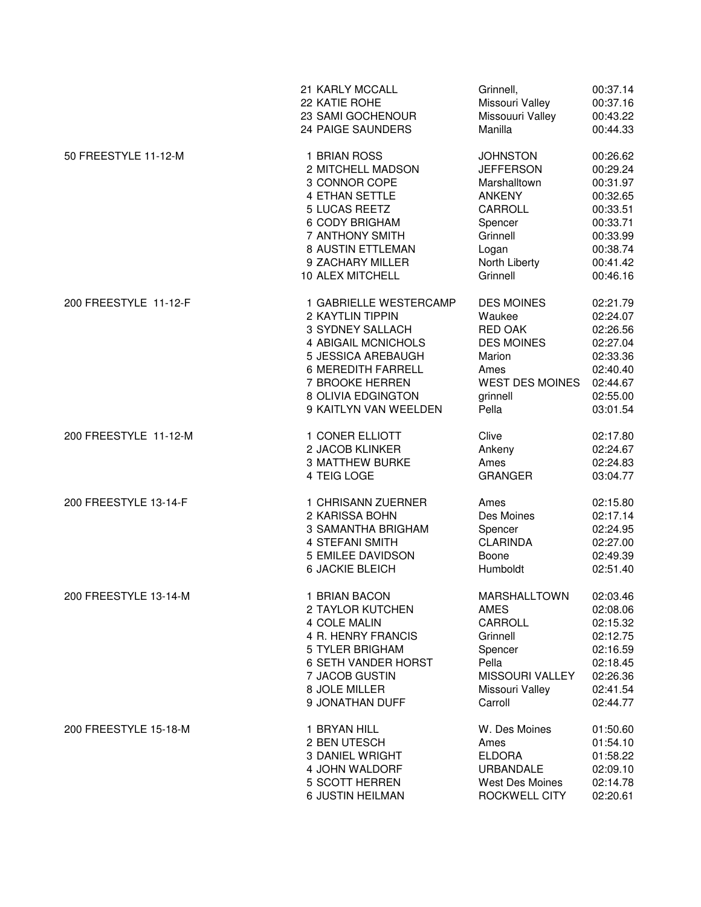|                       | 21 KARLY MCCALL            | Grinnell,              | 00:37.14 |
|-----------------------|----------------------------|------------------------|----------|
|                       | 22 KATIE ROHE              | Missouri Valley        | 00:37.16 |
|                       | 23 SAMI GOCHENOUR          | Missouuri Valley       | 00:43.22 |
|                       | 24 PAIGE SAUNDERS          | Manilla                | 00:44.33 |
| 50 FREESTYLE 11-12-M  | 1 BRIAN ROSS               | <b>JOHNSTON</b>        | 00:26.62 |
|                       | 2 MITCHELL MADSON          | <b>JEFFERSON</b>       | 00:29.24 |
|                       | 3 CONNOR COPE              | Marshalltown           | 00:31.97 |
|                       | <b>4 ETHAN SETTLE</b>      | <b>ANKENY</b>          | 00:32.65 |
|                       | 5 LUCAS REETZ              | CARROLL                | 00:33.51 |
|                       | 6 CODY BRIGHAM             | Spencer                | 00:33.71 |
|                       | 7 ANTHONY SMITH            | Grinnell               | 00:33.99 |
|                       | 8 AUSTIN ETTLEMAN          | Logan                  | 00:38.74 |
|                       | 9 ZACHARY MILLER           | North Liberty          | 00:41.42 |
|                       | 10 ALEX MITCHELL           | Grinnell               | 00:46.16 |
| 200 FREESTYLE 11-12-F | 1 GABRIELLE WESTERCAMP     | <b>DES MOINES</b>      | 02:21.79 |
|                       | 2 KAYTLIN TIPPIN           | Waukee                 | 02:24.07 |
|                       | 3 SYDNEY SALLACH           | <b>RED OAK</b>         | 02:26.56 |
|                       | 4 ABIGAIL MCNICHOLS        | <b>DES MOINES</b>      | 02:27.04 |
|                       | 5 JESSICA AREBAUGH         | Marion                 | 02:33.36 |
|                       | <b>6 MEREDITH FARRELL</b>  | Ames                   | 02:40.40 |
|                       | 7 BROOKE HERREN            | <b>WEST DES MOINES</b> | 02:44.67 |
|                       | 8 OLIVIA EDGINGTON         | grinnell               | 02:55.00 |
|                       | 9 KAITLYN VAN WEELDEN      | Pella                  | 03:01.54 |
| 200 FREESTYLE 11-12-M | 1 CONER ELLIOTT            | Clive                  | 02:17.80 |
|                       | 2 JACOB KLINKER            | Ankeny                 | 02:24.67 |
|                       | <b>3 MATTHEW BURKE</b>     | Ames                   | 02:24.83 |
|                       | 4 TEIG LOGE                | <b>GRANGER</b>         | 03:04.77 |
| 200 FREESTYLE 13-14-F | 1 CHRISANN ZUERNER         | Ames                   | 02:15.80 |
|                       | 2 KARISSA BOHN             | Des Moines             | 02:17.14 |
|                       | 3 SAMANTHA BRIGHAM         | Spencer                | 02:24.95 |
|                       | <b>4 STEFANI SMITH</b>     | <b>CLARINDA</b>        | 02:27.00 |
|                       | 5 EMILEE DAVIDSON          | Boone                  | 02:49.39 |
|                       | <b>6 JACKIE BLEICH</b>     | Humboldt               | 02:51.40 |
| 200 FREESTYLE 13-14-M | 1 BRIAN BACON              | MARSHALLTOWN           | 02:03.46 |
|                       | 2 TAYLOR KUTCHEN           | AMES                   | 02:08.06 |
|                       | 4 COLE MALIN               | CARROLL                | 02:15.32 |
|                       | 4 R. HENRY FRANCIS         | Grinnell               | 02:12.75 |
|                       | 5 TYLER BRIGHAM            | Spencer                | 02:16.59 |
|                       | <b>6 SETH VANDER HORST</b> | Pella                  | 02:18.45 |
|                       | 7 JACOB GUSTIN             | <b>MISSOURI VALLEY</b> | 02:26.36 |
|                       | 8 JOLE MILLER              | Missouri Valley        | 02:41.54 |
|                       | 9 JONATHAN DUFF            | Carroll                | 02:44.77 |
| 200 FREESTYLE 15-18-M | 1 BRYAN HILL               | W. Des Moines          | 01:50.60 |
|                       | 2 BEN UTESCH               | Ames                   | 01:54.10 |
|                       | 3 DANIEL WRIGHT            | <b>ELDORA</b>          | 01:58.22 |
|                       | 4 JOHN WALDORF             | <b>URBANDALE</b>       | 02:09.10 |
|                       | 5 SCOTT HERREN             | West Des Moines        | 02:14.78 |
|                       | 6 JUSTIN HEILMAN           | ROCKWELL CITY          | 02:20.61 |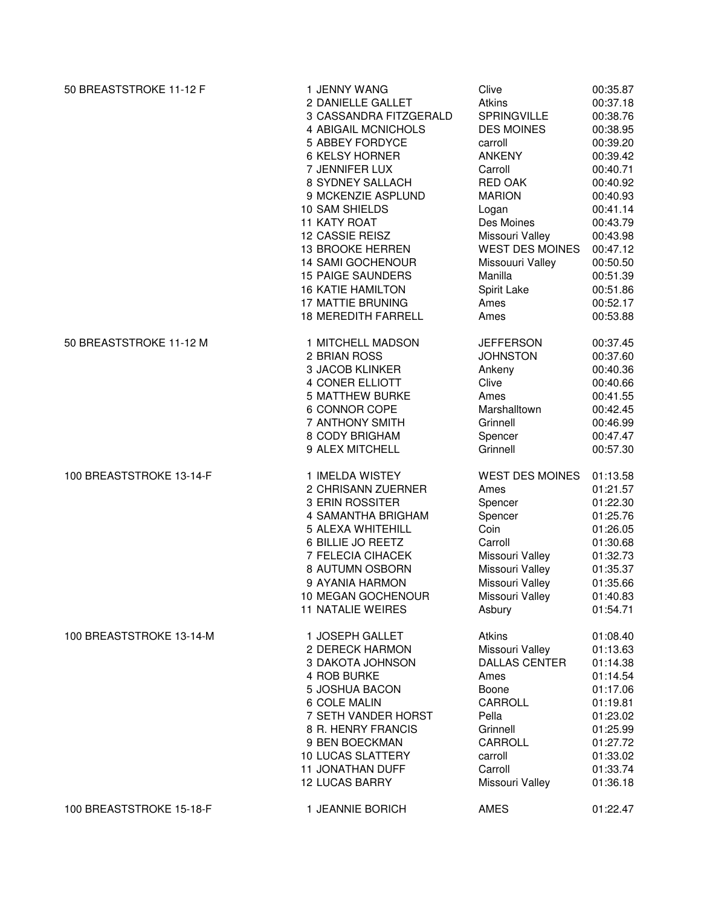| 50 BREASTSTROKE 11-12 F  | 1 JENNY WANG               | Clive                  | 00:35.87 |
|--------------------------|----------------------------|------------------------|----------|
|                          | 2 DANIELLE GALLET          | <b>Atkins</b>          | 00:37.18 |
|                          | 3 CASSANDRA FITZGERALD     | <b>SPRINGVILLE</b>     | 00:38.76 |
|                          | 4 ABIGAIL MCNICHOLS        | <b>DES MOINES</b>      | 00:38.95 |
|                          | 5 ABBEY FORDYCE            | carroll                | 00:39.20 |
|                          | <b>6 KELSY HORNER</b>      | <b>ANKENY</b>          | 00:39.42 |
|                          | 7 JENNIFER LUX             | Carroll                | 00:40.71 |
|                          | 8 SYDNEY SALLACH           | <b>RED OAK</b>         | 00:40.92 |
|                          | 9 MCKENZIE ASPLUND         | <b>MARION</b>          | 00:40.93 |
|                          | 10 SAM SHIELDS             | Logan                  | 00:41.14 |
|                          | 11 KATY ROAT               | Des Moines             | 00:43.79 |
|                          | 12 CASSIE REISZ            | Missouri Valley        | 00:43.98 |
|                          | 13 BROOKE HERREN           | <b>WEST DES MOINES</b> | 00:47.12 |
|                          | <b>14 SAMI GOCHENOUR</b>   | Missouuri Valley       | 00:50.50 |
|                          | <b>15 PAIGE SAUNDERS</b>   | Manilla                | 00:51.39 |
|                          | <b>16 KATIE HAMILTON</b>   | Spirit Lake            | 00:51.86 |
|                          | <b>17 MATTIE BRUNING</b>   | Ames                   | 00:52.17 |
|                          | <b>18 MEREDITH FARRELL</b> | Ames                   | 00:53.88 |
| 50 BREASTSTROKE 11-12 M  | 1 MITCHELL MADSON          | <b>JEFFERSON</b>       | 00:37.45 |
|                          | 2 BRIAN ROSS               | <b>JOHNSTON</b>        | 00:37.60 |
|                          | 3 JACOB KLINKER            | Ankeny                 | 00:40.36 |
|                          | 4 CONER ELLIOTT            | Clive                  | 00:40.66 |
|                          | <b>5 MATTHEW BURKE</b>     | Ames                   | 00:41.55 |
|                          | 6 CONNOR COPE              | Marshalltown           | 00:42.45 |
|                          | 7 ANTHONY SMITH            | Grinnell               | 00:46.99 |
|                          | 8 CODY BRIGHAM             | Spencer                | 00:47.47 |
|                          | 9 ALEX MITCHELL            | Grinnell               | 00:57.30 |
| 100 BREASTSTROKE 13-14-F | 1 IMELDA WISTEY            | <b>WEST DES MOINES</b> | 01:13.58 |
|                          | 2 CHRISANN ZUERNER         | Ames                   | 01:21.57 |
|                          | 3 ERIN ROSSITER            | Spencer                | 01:22.30 |
|                          | 4 SAMANTHA BRIGHAM         | Spencer                | 01:25.76 |
|                          | 5 ALEXA WHITEHILL          | Coin                   | 01:26.05 |
|                          | 6 BILLIE JO REETZ          | Carroll                | 01:30.68 |
|                          | 7 FELECIA CIHACEK          | Missouri Valley        | 01:32.73 |
|                          | 8 AUTUMN OSBORN            | Missouri Valley        | 01:35.37 |
|                          | 9 AYANIA HARMON            | Missouri Valley        | 01:35.66 |
|                          | 10 MEGAN GOCHENOUR         | Missouri Valley        | 01:40.83 |
|                          | <b>11 NATALIE WEIRES</b>   | Asbury                 | 01:54.71 |
| 100 BREASTSTROKE 13-14-M | 1 JOSEPH GALLET            | Atkins                 | 01:08.40 |
|                          | 2 DERECK HARMON            | Missouri Valley        | 01:13.63 |
|                          | 3 DAKOTA JOHNSON           | <b>DALLAS CENTER</b>   | 01:14.38 |
|                          | 4 ROB BURKE                | Ames                   | 01:14.54 |
|                          | 5 JOSHUA BACON             | Boone                  | 01:17.06 |
|                          | 6 COLE MALIN               | CARROLL                | 01:19.81 |
|                          | 7 SETH VANDER HORST        | Pella                  | 01:23.02 |
|                          | 8 R. HENRY FRANCIS         | Grinnell               | 01:25.99 |
|                          | 9 BEN BOECKMAN             | CARROLL                | 01:27.72 |
|                          | <b>10 LUCAS SLATTERY</b>   | carroll                | 01:33.02 |
|                          | <b>11 JONATHAN DUFF</b>    | Carroll                | 01:33.74 |
|                          | <b>12 LUCAS BARRY</b>      | Missouri Valley        | 01:36.18 |
| 100 BREASTSTROKE 15-18-F | 1 JEANNIE BORICH           | AMES                   | 01:22.47 |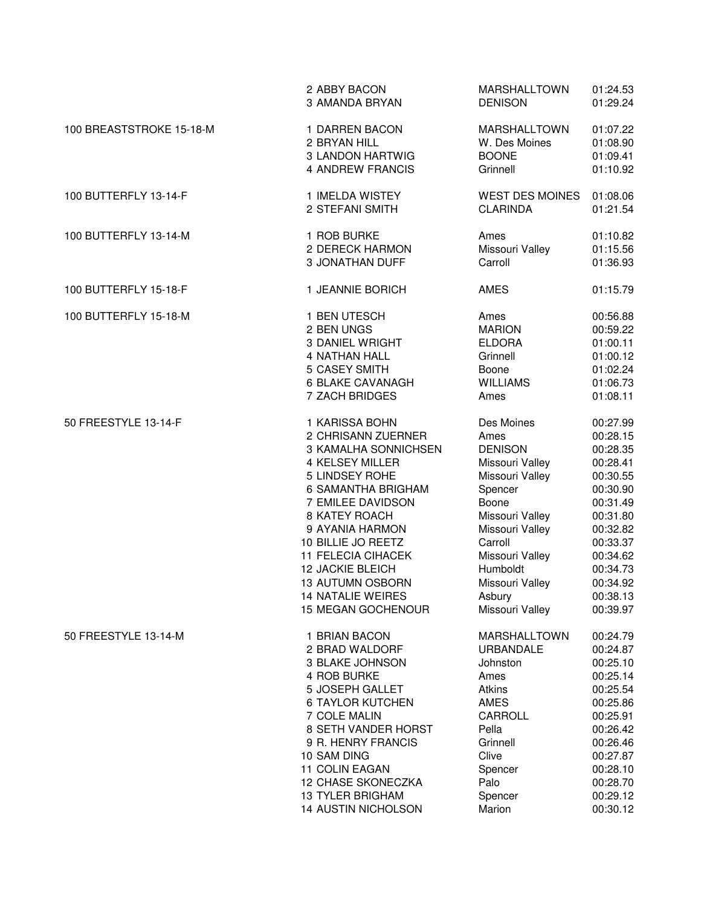|                          | 2 ABBY BACON<br>3 AMANDA BRYAN   | <b>MARSHALLTOWN</b><br><b>DENISON</b> | 01:24.53<br>01:29.24 |
|--------------------------|----------------------------------|---------------------------------------|----------------------|
| 100 BREASTSTROKE 15-18-M | 1 DARREN BACON                   | <b>MARSHALLTOWN</b>                   | 01:07.22             |
|                          | 2 BRYAN HILL                     | W. Des Moines                         | 01:08.90             |
|                          | 3 LANDON HARTWIG                 | <b>BOONE</b>                          | 01:09.41             |
|                          | 4 ANDREW FRANCIS                 | Grinnell                              | 01:10.92             |
| 100 BUTTERFLY 13-14-F    | 1 IMELDA WISTEY                  | <b>WEST DES MOINES</b>                | 01:08.06             |
|                          | 2 STEFANI SMITH                  | <b>CLARINDA</b>                       | 01:21.54             |
| 100 BUTTERFLY 13-14-M    | 1 ROB BURKE                      | Ames                                  | 01:10.82             |
|                          | 2 DERECK HARMON                  | Missouri Valley                       | 01:15.56             |
|                          | 3 JONATHAN DUFF                  | Carroll                               | 01:36.93             |
| 100 BUTTERFLY 15-18-F    | 1 JEANNIE BORICH                 | <b>AMES</b>                           | 01:15.79             |
| 100 BUTTERFLY 15-18-M    | 1 BEN UTESCH                     | Ames                                  | 00:56.88             |
|                          | 2 BEN UNGS                       | <b>MARION</b>                         | 00:59.22             |
|                          | <b>3 DANIEL WRIGHT</b>           | <b>ELDORA</b>                         | 01:00.11             |
|                          | <b>4 NATHAN HALL</b>             | Grinnell                              | 01:00.12             |
|                          | 5 CASEY SMITH                    | Boone                                 | 01:02.24             |
|                          | <b>6 BLAKE CAVANAGH</b>          | <b>WILLIAMS</b>                       | 01:06.73             |
|                          | 7 ZACH BRIDGES                   | Ames                                  | 01:08.11             |
| 50 FREESTYLE 13-14-F     | 1 KARISSA BOHN                   | Des Moines                            | 00:27.99             |
|                          | 2 CHRISANN ZUERNER               | Ames                                  | 00:28.15             |
|                          | 3 KAMALHA SONNICHSEN             | <b>DENISON</b>                        | 00:28.35             |
|                          | 4 KELSEY MILLER                  | Missouri Valley                       | 00:28.41             |
|                          | 5 LINDSEY ROHE                   | Missouri Valley                       | 00:30.55             |
|                          | 6 SAMANTHA BRIGHAM               | Spencer                               | 00:30.90             |
|                          | 7 EMILEE DAVIDSON                | Boone                                 | 00:31.49             |
|                          | 8 KATEY ROACH<br>9 AYANIA HARMON | Missouri Valley<br>Missouri Valley    | 00:31.80             |
|                          | 10 BILLIE JO REETZ               | Carroll                               | 00:32.82<br>00:33.37 |
|                          | <b>11 FELECIA CIHACEK</b>        | Missouri Valley                       | 00:34.62             |
|                          | <b>12 JACKIE BLEICH</b>          | Humboldt                              | 00:34.73             |
|                          | 13 AUTUMN OSBORN                 | Missouri Valley                       | 00:34.92             |
|                          | <b>14 NATALIE WEIRES</b>         | Asbury                                | 00:38.13             |
|                          | 15 MEGAN GOCHENOUR               | Missouri Valley                       | 00:39.97             |
| 50 FREESTYLE 13-14-M     | 1 BRIAN BACON                    | <b>MARSHALLTOWN</b>                   | 00:24.79             |
|                          | 2 BRAD WALDORF                   | <b>URBANDALE</b>                      | 00:24.87             |
|                          | 3 BLAKE JOHNSON                  | Johnston                              | 00:25.10             |
|                          | 4 ROB BURKE                      | Ames                                  | 00:25.14             |
|                          | 5 JOSEPH GALLET                  | <b>Atkins</b>                         | 00:25.54             |
|                          | <b>6 TAYLOR KUTCHEN</b>          | AMES                                  | 00:25.86             |
|                          | 7 COLE MALIN                     | <b>CARROLL</b>                        | 00:25.91             |
|                          | 8 SETH VANDER HORST              | Pella                                 | 00:26.42             |
|                          | 9 R. HENRY FRANCIS               | Grinnell                              | 00:26.46             |
|                          | 10 SAM DING                      | Clive                                 | 00:27.87             |
|                          | 11 COLIN EAGAN                   | Spencer                               | 00:28.10             |
|                          | 12 CHASE SKONECZKA               | Palo                                  | 00:28.70             |
|                          | <b>13 TYLER BRIGHAM</b>          | Spencer                               | 00:29.12             |
|                          | 14 AUSTIN NICHOLSON              | Marion                                | 00:30.12             |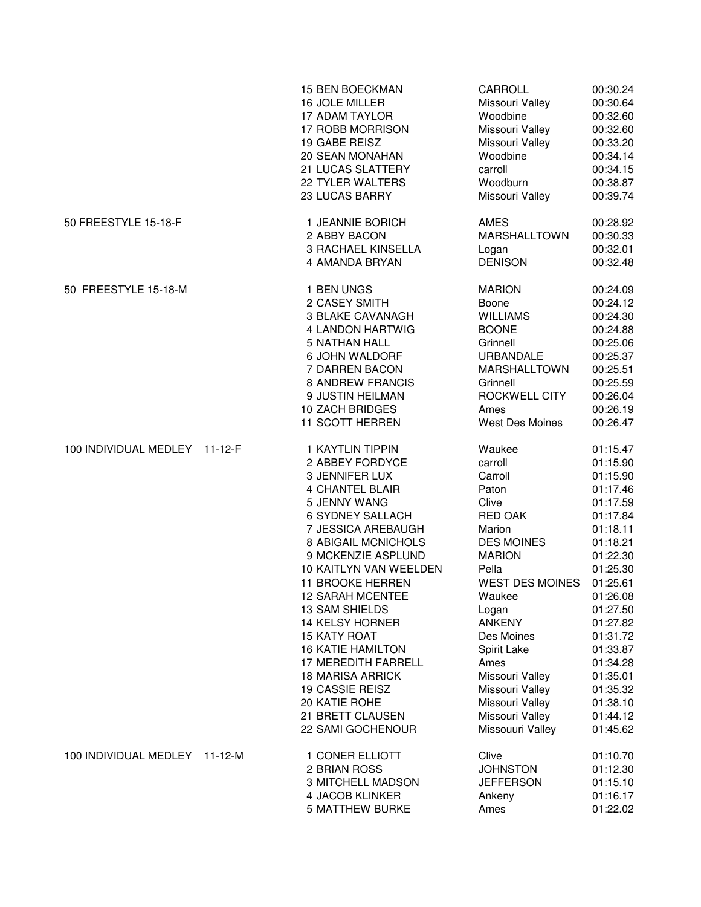|                               |               | <b>15 BEN BOECKMAN</b><br>16 JOLE MILLER<br><b>17 ADAM TAYLOR</b><br>17 ROBB MORRISON<br>19 GABE REISZ<br>20 SEAN MONAHAN<br>21 LUCAS SLATTERY<br>22 TYLER WALTERS<br>23 LUCAS BARRY                                                                                                                                                                                                                                                                                            | CARROLL<br>Missouri Valley<br>Woodbine<br>Missouri Valley<br>Missouri Valley<br>Woodbine<br>carroll<br>Woodburn<br>Missouri Valley                                                                                                                                                                                    | 00:30.24<br>00:30.64<br>00:32.60<br>00:32.60<br>00:33.20<br>00:34.14<br>00:34.15<br>00:38.87<br>00:39.74                                                                                                                                                             |
|-------------------------------|---------------|---------------------------------------------------------------------------------------------------------------------------------------------------------------------------------------------------------------------------------------------------------------------------------------------------------------------------------------------------------------------------------------------------------------------------------------------------------------------------------|-----------------------------------------------------------------------------------------------------------------------------------------------------------------------------------------------------------------------------------------------------------------------------------------------------------------------|----------------------------------------------------------------------------------------------------------------------------------------------------------------------------------------------------------------------------------------------------------------------|
| 50 FREESTYLE 15-18-F          |               | 1 JEANNIE BORICH<br>2 ABBY BACON<br>3 RACHAEL KINSELLA<br>4 AMANDA BRYAN                                                                                                                                                                                                                                                                                                                                                                                                        | AMES<br><b>MARSHALLTOWN</b><br>Logan<br><b>DENISON</b>                                                                                                                                                                                                                                                                | 00:28.92<br>00:30.33<br>00:32.01<br>00:32.48                                                                                                                                                                                                                         |
| 50 FREESTYLE 15-18-M          |               | 1 BEN UNGS<br>2 CASEY SMITH<br><b>3 BLAKE CAVANAGH</b><br>4 LANDON HARTWIG<br><b>5 NATHAN HALL</b><br>6 JOHN WALDORF<br>7 DARREN BACON<br>8 ANDREW FRANCIS<br>9 JUSTIN HEILMAN<br>10 ZACH BRIDGES<br>11 SCOTT HERREN                                                                                                                                                                                                                                                            | <b>MARION</b><br>Boone<br><b>WILLIAMS</b><br><b>BOONE</b><br>Grinnell<br>URBANDALE<br><b>MARSHALLTOWN</b><br>Grinnell<br>ROCKWELL CITY<br>Ames<br><b>West Des Moines</b>                                                                                                                                              | 00:24.09<br>00:24.12<br>00:24.30<br>00:24.88<br>00:25.06<br>00:25.37<br>00:25.51<br>00:25.59<br>00:26.04<br>00:26.19<br>00:26.47                                                                                                                                     |
| 100 INDIVIDUAL MEDLEY 11-12-F |               | 1 KAYTLIN TIPPIN<br>2 ABBEY FORDYCE<br>3 JENNIFER LUX<br><b>4 CHANTEL BLAIR</b><br>5 JENNY WANG<br>6 SYDNEY SALLACH<br>7 JESSICA AREBAUGH<br>8 ABIGAIL MCNICHOLS<br>9 MCKENZIE ASPLUND<br>10 KAITLYN VAN WEELDEN<br>11 BROOKE HERREN<br><b>12 SARAH MCENTEE</b><br>13 SAM SHIELDS<br>14 KELSY HORNER<br><b>15 KATY ROAT</b><br><b>16 KATIE HAMILTON</b><br>17 MEREDITH FARRELL<br>18 MARISA ARRICK<br>19 CASSIE REISZ<br>20 KATIE ROHE<br>21 BRETT CLAUSEN<br>22 SAMI GOCHENOUR | Waukee<br>carroll<br>Carroll<br>Paton<br>Clive<br>RED OAK<br>Marion<br><b>DES MOINES</b><br><b>MARION</b><br>Pella<br><b>WEST DES MOINES</b><br>Waukee<br>Logan<br><b>ANKENY</b><br>Des Moines<br>Spirit Lake<br>Ames<br>Missouri Valley<br>Missouri Valley<br>Missouri Valley<br>Missouri Valley<br>Missouuri Valley | 01:15.47<br>01:15.90<br>01:15.90<br>01:17.46<br>01:17.59<br>01:17.84<br>01:18.11<br>01:18.21<br>01:22.30<br>01:25.30<br>01:25.61<br>01:26.08<br>01:27.50<br>01:27.82<br>01:31.72<br>01:33.87<br>01:34.28<br>01:35.01<br>01:35.32<br>01:38.10<br>01:44.12<br>01:45.62 |
| 100 INDIVIDUAL MEDLEY         | $11 - 12 - M$ | 1 CONER ELLIOTT<br>2 BRIAN ROSS<br>3 MITCHELL MADSON<br>4 JACOB KLINKER<br><b>5 MATTHEW BURKE</b>                                                                                                                                                                                                                                                                                                                                                                               | Clive<br><b>JOHNSTON</b><br><b>JEFFERSON</b><br>Ankeny<br>Ames                                                                                                                                                                                                                                                        | 01:10.70<br>01:12.30<br>01:15.10<br>01:16.17<br>01:22.02                                                                                                                                                                                                             |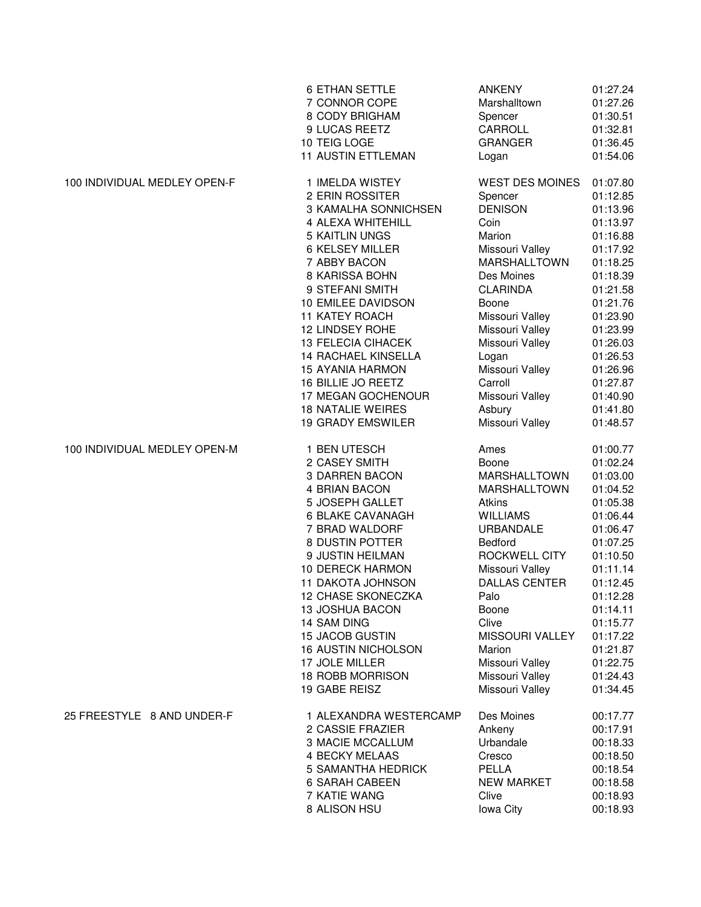|                              | <b>6 ETHAN SETTLE</b>      | <b>ANKENY</b>          | 01:27.24 |
|------------------------------|----------------------------|------------------------|----------|
|                              | 7 CONNOR COPE              | Marshalltown           | 01:27.26 |
|                              | 8 CODY BRIGHAM             | Spencer                | 01:30.51 |
|                              | 9 LUCAS REETZ              | CARROLL                | 01:32.81 |
|                              | 10 TEIG LOGE               | <b>GRANGER</b>         | 01:36.45 |
|                              | <b>11 AUSTIN ETTLEMAN</b>  | Logan                  | 01:54.06 |
| 100 INDIVIDUAL MEDLEY OPEN-F | 1 IMELDA WISTEY            | <b>WEST DES MOINES</b> | 01:07.80 |
|                              | 2 ERIN ROSSITER            | Spencer                | 01:12.85 |
|                              | 3 KAMALHA SONNICHSEN       | <b>DENISON</b>         | 01:13.96 |
|                              | 4 ALEXA WHITEHILL          | Coin                   | 01:13.97 |
|                              | <b>5 KAITLIN UNGS</b>      | Marion                 | 01:16.88 |
|                              | 6 KELSEY MILLER            | Missouri Valley        | 01:17.92 |
|                              | 7 ABBY BACON               | <b>MARSHALLTOWN</b>    | 01:18.25 |
|                              | 8 KARISSA BOHN             | Des Moines             | 01:18.39 |
|                              | 9 STEFANI SMITH            | <b>CLARINDA</b>        | 01:21.58 |
|                              | 10 EMILEE DAVIDSON         | Boone                  | 01:21.76 |
|                              | <b>11 KATEY ROACH</b>      | Missouri Valley        | 01:23.90 |
|                              | 12 LINDSEY ROHE            | Missouri Valley        | 01:23.99 |
|                              | <b>13 FELECIA CIHACEK</b>  | Missouri Valley        | 01:26.03 |
|                              | 14 RACHAEL KINSELLA        | Logan                  | 01:26.53 |
|                              | <b>15 AYANIA HARMON</b>    | Missouri Valley        | 01:26.96 |
|                              | 16 BILLIE JO REETZ         | Carroll                | 01:27.87 |
|                              | 17 MEGAN GOCHENOUR         | Missouri Valley        | 01:40.90 |
|                              | <b>18 NATALIE WEIRES</b>   | Asbury                 | 01:41.80 |
|                              | <b>19 GRADY EMSWILER</b>   | Missouri Valley        | 01:48.57 |
| 100 INDIVIDUAL MEDLEY OPEN-M | 1 BEN UTESCH               | Ames                   | 01:00.77 |
|                              | 2 CASEY SMITH              | Boone                  | 01:02.24 |
|                              | 3 DARREN BACON             | <b>MARSHALLTOWN</b>    | 01:03.00 |
|                              | 4 BRIAN BACON              | <b>MARSHALLTOWN</b>    | 01:04.52 |
|                              | 5 JOSEPH GALLET            | Atkins                 | 01:05.38 |
|                              | <b>6 BLAKE CAVANAGH</b>    | <b>WILLIAMS</b>        | 01:06.44 |
|                              | 7 BRAD WALDORF             | <b>URBANDALE</b>       | 01:06.47 |
|                              | 8 DUSTIN POTTER            | <b>Bedford</b>         | 01:07.25 |
|                              | 9 JUSTIN HEILMAN           | ROCKWELL CITY          | 01:10.50 |
|                              | <b>10 DERECK HARMON</b>    | Missouri Valley        | 01:11.14 |
|                              | 11 DAKOTA JOHNSON          | <b>DALLAS CENTER</b>   | 01:12.45 |
|                              | 12 CHASE SKONECZKA         | Palo                   | 01:12.28 |
|                              | 13 JOSHUA BACON            | Boone                  | 01:14.11 |
|                              | 14 SAM DING                | Clive                  | 01:15.77 |
|                              | <b>15 JACOB GUSTIN</b>     | MISSOURI VALLEY        | 01:17.22 |
|                              | <b>16 AUSTIN NICHOLSON</b> | Marion                 | 01:21.87 |
|                              | 17 JOLE MILLER             | Missouri Valley        | 01:22.75 |
|                              | 18 ROBB MORRISON           | Missouri Valley        | 01:24.43 |
|                              | 19 GABE REISZ              | Missouri Valley        | 01:34.45 |
| 25 FREESTYLE 8 AND UNDER-F   | 1 ALEXANDRA WESTERCAMP     | Des Moines             | 00:17.77 |
|                              | 2 CASSIE FRAZIER           | Ankeny                 | 00:17.91 |
|                              | <b>3 MACIE MCCALLUM</b>    | Urbandale              | 00:18.33 |
|                              | <b>4 BECKY MELAAS</b>      | Cresco                 | 00:18.50 |
|                              | 5 SAMANTHA HEDRICK         | PELLA                  | 00:18.54 |
|                              | <b>6 SARAH CABEEN</b>      | <b>NEW MARKET</b>      | 00:18.58 |
|                              | 7 KATIE WANG               | Clive                  | 00:18.93 |
|                              | 8 ALISON HSU               | lowa City              | 00:18.93 |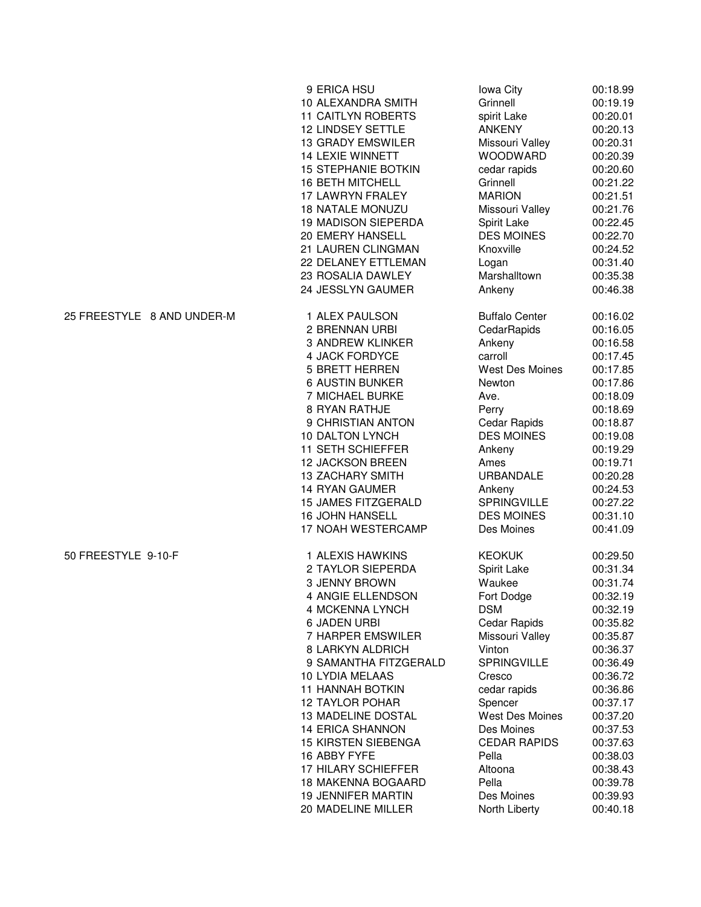|                            | 9 ERICA HSU<br>10 ALEXANDRA SMITH | lowa City<br>Grinnell  | 00:18.99<br>00:19.19 |
|----------------------------|-----------------------------------|------------------------|----------------------|
|                            | <b>11 CAITLYN ROBERTS</b>         | spirit Lake            | 00:20.01             |
|                            | <b>12 LINDSEY SETTLE</b>          | <b>ANKENY</b>          | 00:20.13             |
|                            | <b>13 GRADY EMSWILER</b>          | Missouri Valley        | 00:20.31             |
|                            | <b>14 LEXIE WINNETT</b>           | <b>WOODWARD</b>        | 00:20.39             |
|                            | <b>15 STEPHANIE BOTKIN</b>        | cedar rapids           | 00:20.60             |
|                            | <b>16 BETH MITCHELL</b>           | Grinnell               | 00:21.22             |
|                            | 17 LAWRYN FRALEY                  | <b>MARION</b>          | 00:21.51             |
|                            | <b>18 NATALE MONUZU</b>           | Missouri Valley        | 00:21.76             |
|                            | 19 MADISON SIEPERDA               | Spirit Lake            | 00:22.45             |
|                            | 20 EMERY HANSELL                  | <b>DES MOINES</b>      | 00:22.70             |
|                            | 21 LAUREN CLINGMAN                | Knoxville              | 00:24.52             |
|                            | 22 DELANEY ETTLEMAN               | Logan                  | 00:31.40             |
|                            | 23 ROSALIA DAWLEY                 | Marshalltown           | 00:35.38             |
|                            | 24 JESSLYN GAUMER                 | Ankeny                 | 00:46.38             |
| 25 FREESTYLE 8 AND UNDER-M | 1 ALEX PAULSON                    | <b>Buffalo Center</b>  | 00:16.02             |
|                            | 2 BRENNAN URBI                    | CedarRapids            | 00:16.05             |
|                            | 3 ANDREW KLINKER                  | Ankeny                 | 00:16.58             |
|                            | 4 JACK FORDYCE                    | carroll                | 00:17.45             |
|                            | <b>5 BRETT HERREN</b>             | <b>West Des Moines</b> | 00:17.85             |
|                            | <b>6 AUSTIN BUNKER</b>            | Newton                 | 00:17.86             |
|                            | 7 MICHAEL BURKE                   | Ave.                   | 00:18.09             |
|                            | 8 RYAN RATHJE                     | Perry                  | 00:18.69             |
|                            | 9 CHRISTIAN ANTON                 | Cedar Rapids           | 00:18.87             |
|                            | 10 DALTON LYNCH                   | <b>DES MOINES</b>      | 00:19.08             |
|                            | 11 SETH SCHIEFFER                 | Ankeny                 | 00:19.29             |
|                            | <b>12 JACKSON BREEN</b>           | Ames                   | 00:19.71             |
|                            | <b>13 ZACHARY SMITH</b>           | <b>URBANDALE</b>       | 00:20.28             |
|                            | <b>14 RYAN GAUMER</b>             | Ankeny                 | 00:24.53             |
|                            | <b>15 JAMES FITZGERALD</b>        | <b>SPRINGVILLE</b>     | 00:27.22             |
|                            | 16 JOHN HANSELL                   | <b>DES MOINES</b>      | 00:31.10             |
|                            | 17 NOAH WESTERCAMP                | Des Moines             | 00:41.09             |
| 50 FREESTYLE 9-10-F        | 1 ALEXIS HAWKINS                  | <b>KEOKUK</b>          | 00:29.50             |
|                            | 2 TAYLOR SIEPERDA                 | Spirit Lake            | 00:31.34             |
|                            | 3 JENNY BROWN                     | Waukee                 | 00:31.74             |
|                            | 4 ANGIE ELLENDSON                 | Fort Dodge             | 00:32.19             |
|                            | 4 MCKENNA LYNCH                   | <b>DSM</b>             | 00:32.19             |
|                            | <b>6 JADEN URBI</b>               | Cedar Rapids           | 00:35.82             |
|                            | 7 HARPER EMSWILER                 | Missouri Valley        | 00:35.87             |
|                            | 8 LARKYN ALDRICH                  | Vinton                 | 00:36.37             |
|                            | 9 SAMANTHA FITZGERALD             | <b>SPRINGVILLE</b>     | 00:36.49             |
|                            | 10 LYDIA MELAAS                   | Cresco                 | 00:36.72             |
|                            | <b>11 HANNAH BOTKIN</b>           | cedar rapids           | 00:36.86             |
|                            | <b>12 TAYLOR POHAR</b>            | Spencer                | 00:37.17             |
|                            | <b>13 MADELINE DOSTAL</b>         | <b>West Des Moines</b> | 00:37.20             |
|                            | <b>14 ERICA SHANNON</b>           | Des Moines             | 00:37.53             |
|                            | <b>15 KIRSTEN SIEBENGA</b>        | <b>CEDAR RAPIDS</b>    | 00:37.63             |
|                            | 16 ABBY FYFE                      | Pella                  | 00:38.03             |
|                            | 17 HILARY SCHIEFFER               | Altoona                | 00:38.43             |
|                            | <b>18 MAKENNA BOGAARD</b>         | Pella                  | 00:39.78             |
|                            | <b>19 JENNIFER MARTIN</b>         | Des Moines             | 00:39.93             |
|                            | 20 MADELINE MILLER                | North Liberty          | 00:40.18             |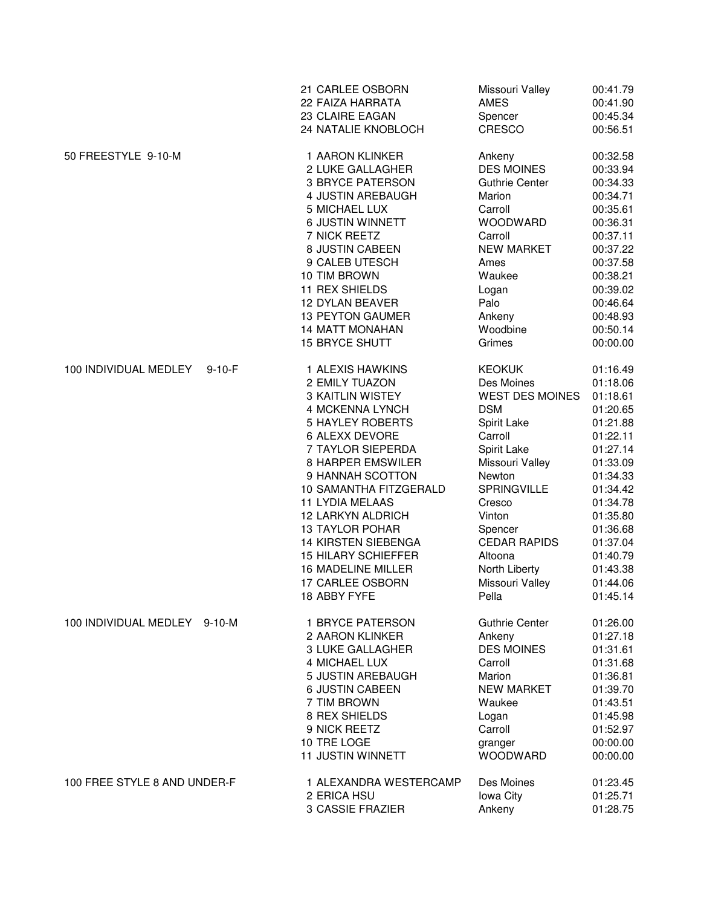|                              |              | 21 CARLEE OSBORN           | Missouri Valley        | 00:41.79 |
|------------------------------|--------------|----------------------------|------------------------|----------|
|                              |              | 22 FAIZA HARRATA           | <b>AMES</b>            | 00:41.90 |
|                              |              | 23 CLAIRE EAGAN            | Spencer                | 00:45.34 |
|                              |              | 24 NATALIE KNOBLOCH        | CRESCO                 | 00:56.51 |
| 50 FREESTYLE 9-10-M          |              | 1 AARON KLINKER            | Ankeny                 | 00:32.58 |
|                              |              | 2 LUKE GALLAGHER           | <b>DES MOINES</b>      | 00:33.94 |
|                              |              | <b>3 BRYCE PATERSON</b>    | <b>Guthrie Center</b>  | 00:34.33 |
|                              |              | 4 JUSTIN AREBAUGH          | Marion                 | 00:34.71 |
|                              |              | 5 MICHAEL LUX              | Carroll                | 00:35.61 |
|                              |              | 6 JUSTIN WINNETT           | WOODWARD               | 00:36.31 |
|                              |              | 7 NICK REETZ               | Carroll                | 00:37.11 |
|                              |              | 8 JUSTIN CABEEN            | <b>NEW MARKET</b>      | 00:37.22 |
|                              |              | 9 CALEB UTESCH             | Ames                   | 00:37.58 |
|                              |              | 10 TIM BROWN               | Waukee                 | 00:38.21 |
|                              |              | 11 REX SHIELDS             | Logan                  | 00:39.02 |
|                              |              | <b>12 DYLAN BEAVER</b>     | Palo                   | 00:46.64 |
|                              |              | <b>13 PEYTON GAUMER</b>    | Ankeny                 | 00:48.93 |
|                              |              | <b>14 MATT MONAHAN</b>     | Woodbine               | 00:50.14 |
|                              |              | <b>15 BRYCE SHUTT</b>      | Grimes                 | 00:00.00 |
| 100 INDIVIDUAL MEDLEY        | $9 - 10 - F$ | 1 ALEXIS HAWKINS           | <b>KEOKUK</b>          | 01:16.49 |
|                              |              | 2 EMILY TUAZON             | Des Moines             | 01:18.06 |
|                              |              | <b>3 KAITLIN WISTEY</b>    | <b>WEST DES MOINES</b> | 01:18.61 |
|                              |              | 4 MCKENNA LYNCH            | <b>DSM</b>             | 01:20.65 |
|                              |              | <b>5 HAYLEY ROBERTS</b>    | Spirit Lake            | 01:21.88 |
|                              |              | 6 ALEXX DEVORE             | Carroll                | 01:22.11 |
|                              |              | 7 TAYLOR SIEPERDA          | Spirit Lake            | 01:27.14 |
|                              |              | 8 HARPER EMSWILER          | Missouri Valley        | 01:33.09 |
|                              |              | 9 HANNAH SCOTTON           | Newton                 | 01:34.33 |
|                              |              | 10 SAMANTHA FITZGERALD     | <b>SPRINGVILLE</b>     | 01:34.42 |
|                              |              | <b>11 LYDIA MELAAS</b>     | Cresco                 | 01:34.78 |
|                              |              | 12 LARKYN ALDRICH          | Vinton                 | 01:35.80 |
|                              |              | <b>13 TAYLOR POHAR</b>     | Spencer                | 01:36.68 |
|                              |              | <b>14 KIRSTEN SIEBENGA</b> | <b>CEDAR RAPIDS</b>    | 01:37.04 |
|                              |              | <b>15 HILARY SCHIEFFER</b> | Altoona                | 01:40.79 |
|                              |              | 16 MADELINE MILLER         | North Liberty          | 01:43.38 |
|                              |              | 17 CARLEE OSBORN           | Missouri Valley        | 01:44.06 |
|                              |              | 18 ABBY FYFE               | Pella                  | 01:45.14 |
| 100 INDIVIDUAL MEDLEY 9-10-M |              | 1 BRYCE PATERSON           | <b>Guthrie Center</b>  | 01:26.00 |
|                              |              | 2 AARON KLINKER            | Ankeny                 | 01:27.18 |
|                              |              | 3 LUKE GALLAGHER           | <b>DES MOINES</b>      | 01:31.61 |
|                              |              | 4 MICHAEL LUX              | Carroll                | 01:31.68 |
|                              |              | 5 JUSTIN AREBAUGH          | Marion                 | 01:36.81 |
|                              |              | <b>6 JUSTIN CABEEN</b>     | <b>NEW MARKET</b>      | 01:39.70 |
|                              |              | 7 TIM BROWN                | Waukee                 | 01:43.51 |
|                              |              | 8 REX SHIELDS              | Logan                  | 01:45.98 |
|                              |              | 9 NICK REETZ               | Carroll                | 01:52.97 |
|                              |              | 10 TRE LOGE                | granger                | 00:00.00 |
|                              |              | <b>11 JUSTIN WINNETT</b>   | <b>WOODWARD</b>        | 00:00.00 |
| 100 FREE STYLE 8 AND UNDER-F |              | 1 ALEXANDRA WESTERCAMP     | Des Moines             | 01:23.45 |
|                              |              | 2 ERICA HSU                | Iowa City              | 01:25.71 |
|                              |              | 3 CASSIE FRAZIER           | Ankeny                 | 01:28.75 |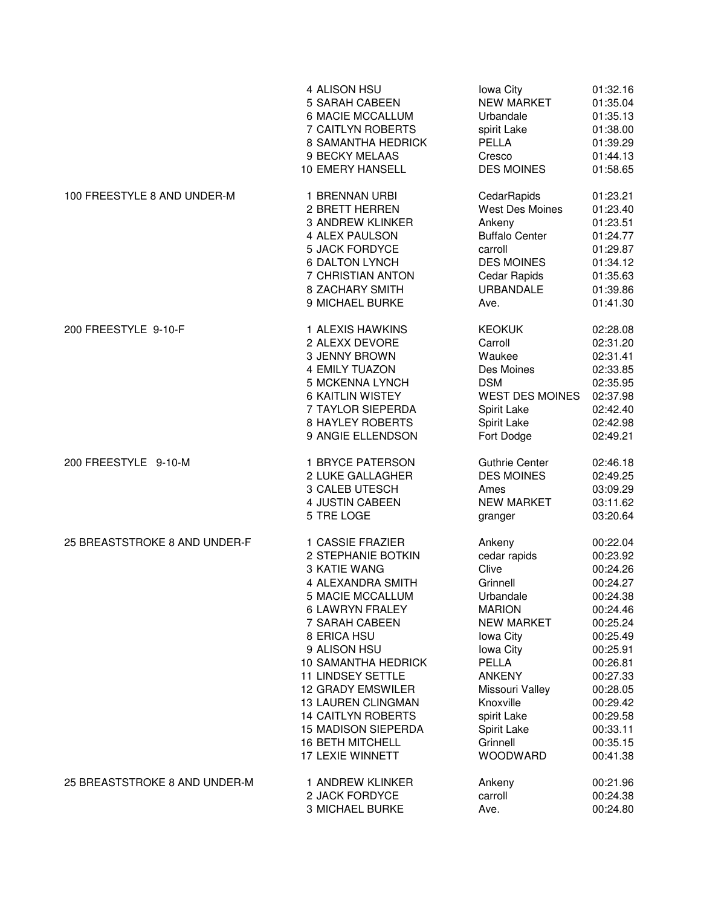|                               | 4 ALISON HSU               | lowa City              | 01:32.16 |
|-------------------------------|----------------------------|------------------------|----------|
|                               | 5 SARAH CABEEN             | <b>NEW MARKET</b>      | 01:35.04 |
|                               | 6 MACIE MCCALLUM           | Urbandale              | 01:35.13 |
|                               | 7 CAITLYN ROBERTS          | spirit Lake            | 01:38.00 |
|                               | 8 SAMANTHA HEDRICK         | PELLA                  | 01:39.29 |
|                               | 9 BECKY MELAAS             | Cresco                 | 01:44.13 |
|                               | 10 EMERY HANSELL           | <b>DES MOINES</b>      | 01:58.65 |
| 100 FREESTYLE 8 AND UNDER-M   | 1 BRENNAN URBI             | CedarRapids            | 01:23.21 |
|                               | 2 BRETT HERREN             | <b>West Des Moines</b> | 01:23.40 |
|                               | <b>3 ANDREW KLINKER</b>    | Ankeny                 | 01:23.51 |
|                               | 4 ALEX PAULSON             | <b>Buffalo Center</b>  | 01:24.77 |
|                               | <b>5 JACK FORDYCE</b>      | carroll                | 01:29.87 |
|                               | <b>6 DALTON LYNCH</b>      | <b>DES MOINES</b>      | 01:34.12 |
|                               |                            |                        |          |
|                               | 7 CHRISTIAN ANTON          | Cedar Rapids           | 01:35.63 |
|                               | <b>8 ZACHARY SMITH</b>     | URBANDALE              | 01:39.86 |
|                               | 9 MICHAEL BURKE            | Ave.                   | 01:41.30 |
| 200 FREESTYLE 9-10-F          | 1 ALEXIS HAWKINS           | <b>KEOKUK</b>          | 02:28.08 |
|                               | 2 ALEXX DEVORE             | Carroll                | 02:31.20 |
|                               | 3 JENNY BROWN              | Waukee                 | 02:31.41 |
|                               | 4 EMILY TUAZON             | Des Moines             | 02:33.85 |
|                               | 5 MCKENNA LYNCH            | <b>DSM</b>             | 02:35.95 |
|                               | <b>6 KAITLIN WISTEY</b>    | <b>WEST DES MOINES</b> | 02:37.98 |
|                               | 7 TAYLOR SIEPERDA          | Spirit Lake            | 02:42.40 |
|                               | <b>8 HAYLEY ROBERTS</b>    | Spirit Lake            | 02:42.98 |
|                               | 9 ANGIE ELLENDSON          | Fort Dodge             | 02:49.21 |
| 200 FREESTYLE 9-10-M          | 1 BRYCE PATERSON           | <b>Guthrie Center</b>  | 02:46.18 |
|                               | 2 LUKE GALLAGHER           | <b>DES MOINES</b>      | 02:49.25 |
|                               | 3 CALEB UTESCH             | Ames                   | 03:09.29 |
|                               | 4 JUSTIN CABEEN            | <b>NEW MARKET</b>      | 03:11.62 |
|                               | 5 TRE LOGE                 | granger                | 03:20.64 |
| 25 BREASTSTROKE 8 AND UNDER-F | 1 CASSIE FRAZIER           | Ankeny                 | 00:22.04 |
|                               | 2 STEPHANIE BOTKIN         | cedar rapids           | 00:23.92 |
|                               | 3 KATIE WANG               | Clive                  | 00:24.26 |
|                               | 4 ALEXANDRA SMITH          | Grinnell               | 00:24.27 |
|                               | 5 MACIE MCCALLUM           | Urbandale              | 00:24.38 |
|                               | 6 LAWRYN FRALEY            | <b>MARION</b>          | 00:24.46 |
|                               | 7 SARAH CABEEN             | <b>NEW MARKET</b>      | 00:25.24 |
|                               | 8 ERICA HSU                | lowa City              | 00:25.49 |
|                               | 9 ALISON HSU               | lowa City              | 00:25.91 |
|                               | 10 SAMANTHA HEDRICK        | PELLA                  | 00:26.81 |
|                               | <b>11 LINDSEY SETTLE</b>   | <b>ANKENY</b>          | 00:27.33 |
|                               | <b>12 GRADY EMSWILER</b>   | Missouri Valley        | 00:28.05 |
|                               | <b>13 LAUREN CLINGMAN</b>  | Knoxville              | 00:29.42 |
|                               | <b>14 CAITLYN ROBERTS</b>  | spirit Lake            | 00:29.58 |
|                               | <b>15 MADISON SIEPERDA</b> | Spirit Lake            | 00:33.11 |
|                               | <b>16 BETH MITCHELL</b>    | Grinnell               | 00:35.15 |
|                               | 17 LEXIE WINNETT           | <b>WOODWARD</b>        | 00:41.38 |
| 25 BREASTSTROKE 8 AND UNDER-M | 1 ANDREW KLINKER           | Ankeny                 | 00:21.96 |
|                               | 2 JACK FORDYCE             | carroll                | 00:24.38 |
|                               | 3 MICHAEL BURKE            | Ave.                   | 00:24.80 |
|                               |                            |                        |          |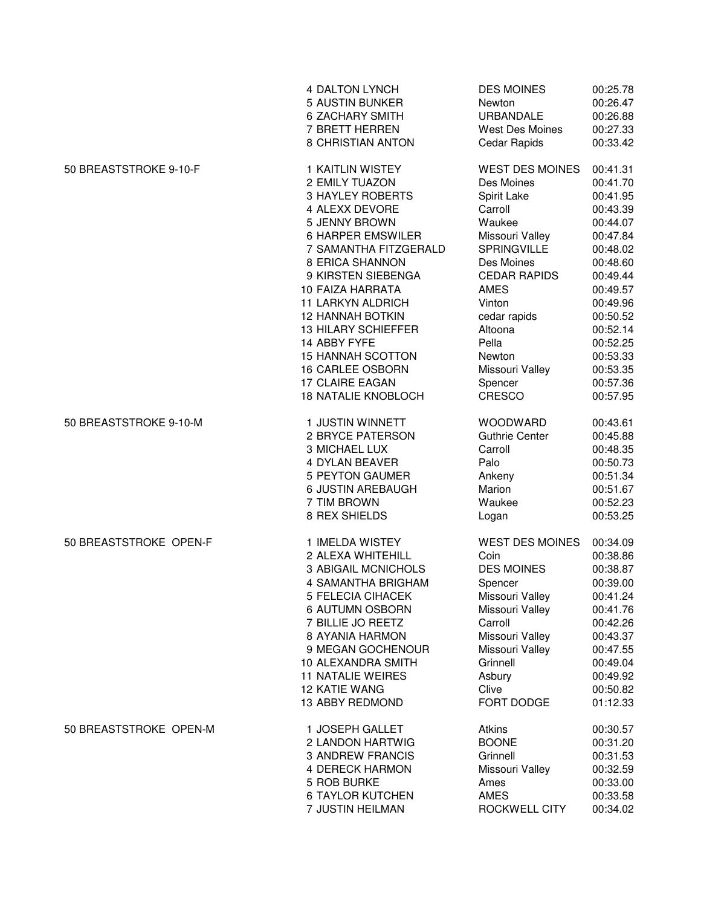|                        | <b>4 DALTON LYNCH</b>      | <b>DES MOINES</b>      | 00:25.78 |
|------------------------|----------------------------|------------------------|----------|
|                        | <b>5 AUSTIN BUNKER</b>     | Newton                 | 00:26.47 |
|                        | <b>6 ZACHARY SMITH</b>     | <b>URBANDALE</b>       | 00:26.88 |
|                        | 7 BRETT HERREN             | West Des Moines        | 00:27.33 |
|                        | 8 CHRISTIAN ANTON          | Cedar Rapids           | 00:33.42 |
| 50 BREASTSTROKE 9-10-F | 1 KAITLIN WISTEY           | <b>WEST DES MOINES</b> | 00:41.31 |
|                        | 2 EMILY TUAZON             | Des Moines             | 00:41.70 |
|                        | <b>3 HAYLEY ROBERTS</b>    | Spirit Lake            | 00:41.95 |
|                        | 4 ALEXX DEVORE             | Carroll                | 00:43.39 |
|                        | 5 JENNY BROWN              | Waukee                 | 00:44.07 |
|                        | <b>6 HARPER EMSWILER</b>   | Missouri Valley        | 00:47.84 |
|                        | 7 SAMANTHA FITZGERALD      | SPRINGVILLE            | 00:48.02 |
|                        | 8 ERICA SHANNON            | Des Moines             | 00:48.60 |
|                        | 9 KIRSTEN SIEBENGA         | <b>CEDAR RAPIDS</b>    | 00:49.44 |
|                        | 10 FAIZA HARRATA           | <b>AMES</b>            | 00:49.57 |
|                        | 11 LARKYN ALDRICH          | Vinton                 | 00:49.96 |
|                        | <b>12 HANNAH BOTKIN</b>    | cedar rapids           | 00:50.52 |
|                        | <b>13 HILARY SCHIEFFER</b> | Altoona                | 00:52.14 |
|                        | 14 ABBY FYFE               | Pella                  | 00:52.25 |
|                        | <b>15 HANNAH SCOTTON</b>   | Newton                 | 00:53.33 |
|                        | <b>16 CARLEE OSBORN</b>    | Missouri Valley        | 00:53.35 |
|                        | 17 CLAIRE EAGAN            | Spencer                | 00:57.36 |
|                        | <b>18 NATALIE KNOBLOCH</b> | CRESCO                 | 00:57.95 |
| 50 BREASTSTROKE 9-10-M | 1 JUSTIN WINNETT           | <b>WOODWARD</b>        | 00:43.61 |
|                        | 2 BRYCE PATERSON           | <b>Guthrie Center</b>  | 00:45.88 |
|                        | 3 MICHAEL LUX              | Carroll                | 00:48.35 |
|                        | <b>4 DYLAN BEAVER</b>      | Palo                   | 00:50.73 |
|                        | <b>5 PEYTON GAUMER</b>     | Ankeny                 | 00:51.34 |
|                        | 6 JUSTIN AREBAUGH          | Marion                 | 00:51.67 |
|                        | 7 TIM BROWN                | Waukee                 | 00:52.23 |
|                        | 8 REX SHIELDS              | Logan                  | 00:53.25 |
| 50 BREASTSTROKE OPEN-F | 1 IMELDA WISTEY            | <b>WEST DES MOINES</b> | 00:34.09 |
|                        | 2 ALEXA WHITEHILL          | Coin                   | 00:38.86 |
|                        | <b>3 ABIGAIL MCNICHOLS</b> | <b>DES MOINES</b>      | 00:38.87 |
|                        | 4 SAMANTHA BRIGHAM         | Spencer                | 00:39.00 |
|                        | 5 FELECIA CIHACEK          | Missouri Valley        | 00:41.24 |
|                        | 6 AUTUMN OSBORN            | Missouri Valley        | 00:41.76 |
|                        | 7 BILLIE JO REETZ          | Carroll                | 00:42.26 |
|                        | 8 AYANIA HARMON            | Missouri Valley        | 00:43.37 |
|                        | 9 MEGAN GOCHENOUR          | Missouri Valley        | 00:47.55 |
|                        | 10 ALEXANDRA SMITH         | Grinnell               | 00:49.04 |
|                        | <b>11 NATALIE WEIRES</b>   | Asbury                 | 00:49.92 |
|                        | 12 KATIE WANG              | Clive                  | 00:50.82 |
|                        | 13 ABBY REDMOND            | FORT DODGE             | 01:12.33 |
| 50 BREASTSTROKE OPEN-M | 1 JOSEPH GALLET            | <b>Atkins</b>          | 00:30.57 |
|                        | 2 LANDON HARTWIG           | <b>BOONE</b>           | 00:31.20 |
|                        | <b>3 ANDREW FRANCIS</b>    | Grinnell               | 00:31.53 |
|                        | <b>4 DERECK HARMON</b>     | Missouri Valley        | 00:32.59 |
|                        | 5 ROB BURKE                | Ames                   | 00:33.00 |
|                        | <b>6 TAYLOR KUTCHEN</b>    | <b>AMES</b>            | 00:33.58 |
|                        | 7 JUSTIN HEILMAN           | ROCKWELL CITY          | 00:34.02 |
|                        |                            |                        |          |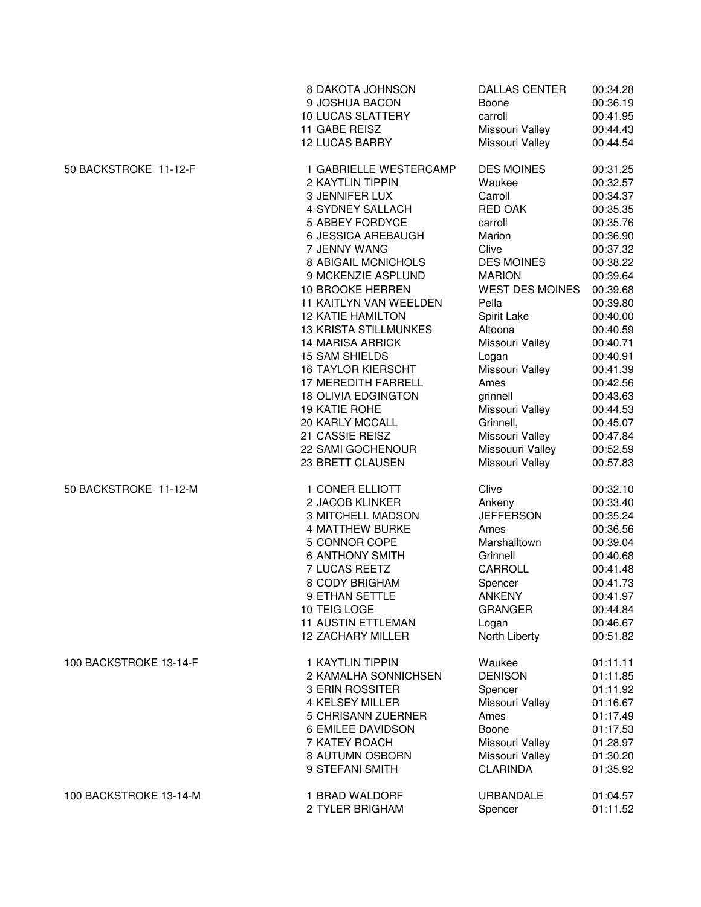|                        | 8 DAKOTA JOHNSON              | <b>DALLAS CENTER</b>   | 00:34.28 |
|------------------------|-------------------------------|------------------------|----------|
|                        | 9 JOSHUA BACON                | Boone                  | 00:36.19 |
|                        | <b>10 LUCAS SLATTERY</b>      | carroll                | 00:41.95 |
|                        | 11 GABE REISZ                 | Missouri Valley        | 00:44.43 |
|                        | <b>12 LUCAS BARRY</b>         | Missouri Valley        | 00:44.54 |
| 50 BACKSTROKE 11-12-F  | 1 GABRIELLE WESTERCAMP        | <b>DES MOINES</b>      | 00:31.25 |
|                        | 2 KAYTLIN TIPPIN              | Waukee                 | 00:32.57 |
|                        | 3 JENNIFER LUX                | Carroll                | 00:34.37 |
|                        | 4 SYDNEY SALLACH              | <b>RED OAK</b>         | 00:35.35 |
|                        | 5 ABBEY FORDYCE               | carroll                | 00:35.76 |
|                        | <b>6 JESSICA AREBAUGH</b>     | Marion                 | 00:36.90 |
|                        | 7 JENNY WANG                  | Clive                  | 00:37.32 |
|                        | 8 ABIGAIL MCNICHOLS           | <b>DES MOINES</b>      | 00:38.22 |
|                        | 9 MCKENZIE ASPLUND            | <b>MARION</b>          | 00:39.64 |
|                        | 10 BROOKE HERREN              | <b>WEST DES MOINES</b> | 00:39.68 |
|                        | <b>11 KAITLYN VAN WEELDEN</b> | Pella                  | 00:39.80 |
|                        | <b>12 KATIE HAMILTON</b>      | Spirit Lake            | 00:40.00 |
|                        | <b>13 KRISTA STILLMUNKES</b>  | Altoona                | 00:40.59 |
|                        | <b>14 MARISA ARRICK</b>       | Missouri Valley        | 00:40.71 |
|                        | <b>15 SAM SHIELDS</b>         | Logan                  | 00:40.91 |
|                        | <b>16 TAYLOR KIERSCHT</b>     | Missouri Valley        | 00:41.39 |
|                        | 17 MEREDITH FARRELL           | Ames                   | 00:42.56 |
|                        | <b>18 OLIVIA EDGINGTON</b>    | grinnell               | 00:43.63 |
|                        | <b>19 KATIE ROHE</b>          | Missouri Valley        | 00:44.53 |
|                        | 20 KARLY MCCALL               | Grinnell,              | 00:45.07 |
|                        | 21 CASSIE REISZ               | Missouri Valley        | 00:47.84 |
|                        | 22 SAMI GOCHENOUR             | Missouuri Valley       | 00:52.59 |
| 50 BACKSTROKE 11-12-M  | 23 BRETT CLAUSEN              | Missouri Valley        | 00:57.83 |
|                        | 1 CONER ELLIOTT               | Clive                  | 00:32.10 |
|                        | 2 JACOB KLINKER               | Ankeny                 | 00:33.40 |
|                        | 3 MITCHELL MADSON             | <b>JEFFERSON</b>       | 00:35.24 |
|                        | <b>4 MATTHEW BURKE</b>        | Ames                   | 00:36.56 |
|                        | 5 CONNOR COPE                 | Marshalltown           | 00:39.04 |
|                        | <b>6 ANTHONY SMITH</b>        | Grinnell               | 00:40.68 |
|                        | 7 LUCAS REETZ                 | CARROLL                | 00:41.48 |
|                        | 8 CODY BRIGHAM                | Spencer                | 00:41.73 |
|                        | 9 ETHAN SETTLE                | <b>ANKENY</b>          | 00:41.97 |
|                        | 10 TEIG LOGE                  | <b>GRANGER</b>         | 00:44.84 |
|                        | <b>11 AUSTIN ETTLEMAN</b>     | Logan                  | 00:46.67 |
|                        | 12 ZACHARY MILLER             | North Liberty          | 00:51.82 |
| 100 BACKSTROKE 13-14-F | 1 KAYTLIN TIPPIN              | Waukee                 | 01:11.11 |
|                        | 2 KAMALHA SONNICHSEN          | <b>DENISON</b>         | 01:11.85 |
|                        | 3 ERIN ROSSITER               | Spencer                | 01:11.92 |
|                        | 4 KELSEY MILLER               | Missouri Valley        | 01:16.67 |
|                        | 5 CHRISANN ZUERNER            | Ames                   | 01:17.49 |
|                        | 6 EMILEE DAVIDSON             | Boone                  | 01:17.53 |
|                        | 7 KATEY ROACH                 | Missouri Valley        | 01:28.97 |
|                        | 8 AUTUMN OSBORN               | Missouri Valley        | 01:30.20 |
|                        | 9 STEFANI SMITH               | <b>CLARINDA</b>        | 01:35.92 |
| 100 BACKSTROKE 13-14-M | 1 BRAD WALDORF                | URBANDALE              | 01:04.57 |
|                        | 2 TYLER BRIGHAM               | Spencer                | 01:11.52 |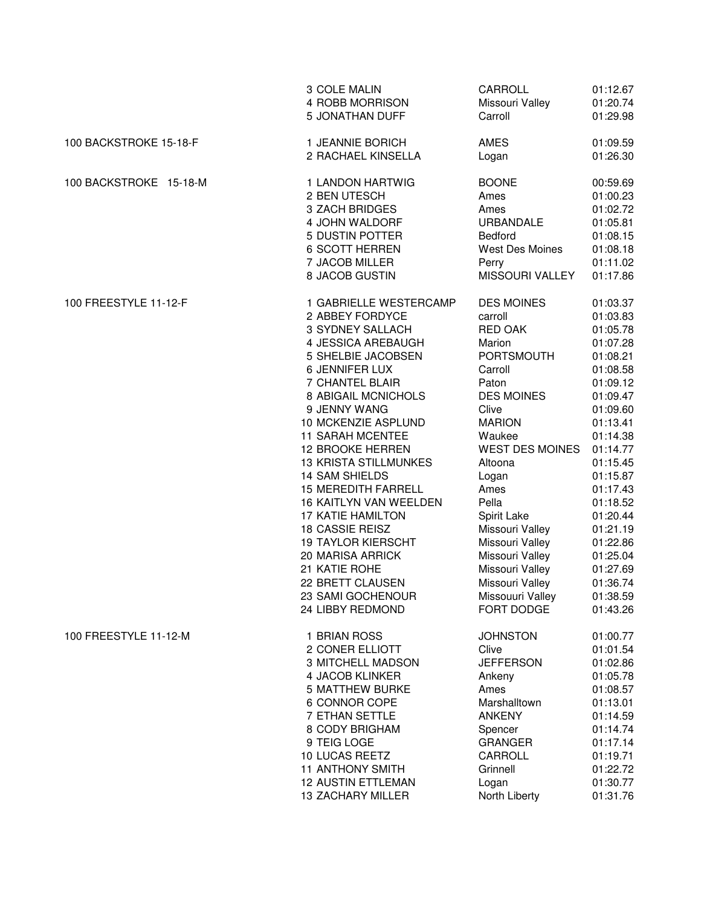|                        | 3 COLE MALIN                  | CARROLL                | 01:12.67 |
|------------------------|-------------------------------|------------------------|----------|
|                        | 4 ROBB MORRISON               | Missouri Valley        | 01:20.74 |
|                        | 5 JONATHAN DUFF               | Carroll                | 01:29.98 |
| 100 BACKSTROKE 15-18-F | 1 JEANNIE BORICH              | AMES                   | 01:09.59 |
|                        | 2 RACHAEL KINSELLA            | Logan                  | 01:26.30 |
| 100 BACKSTROKE 15-18-M | 1 LANDON HARTWIG              | <b>BOONE</b>           | 00:59.69 |
|                        | 2 BEN UTESCH                  | Ames                   | 01:00.23 |
|                        | 3 ZACH BRIDGES                | Ames                   | 01:02.72 |
|                        | 4 JOHN WALDORF                | <b>URBANDALE</b>       | 01:05.81 |
|                        | 5 DUSTIN POTTER               | Bedford                | 01:08.15 |
|                        | <b>6 SCOTT HERREN</b>         | West Des Moines        | 01:08.18 |
|                        | 7 JACOB MILLER                | Perry                  | 01:11.02 |
|                        | 8 JACOB GUSTIN                | MISSOURI VALLEY        | 01:17.86 |
| 100 FREESTYLE 11-12-F  | 1 GABRIELLE WESTERCAMP        | <b>DES MOINES</b>      | 01:03.37 |
|                        | 2 ABBEY FORDYCE               | carroll                | 01:03.83 |
|                        | 3 SYDNEY SALLACH              | <b>RED OAK</b>         | 01:05.78 |
|                        | 4 JESSICA AREBAUGH            | Marion                 | 01:07.28 |
|                        | 5 SHELBIE JACOBSEN            | <b>PORTSMOUTH</b>      | 01:08.21 |
|                        | 6 JENNIFER LUX                | Carroll                | 01:08.58 |
|                        | 7 CHANTEL BLAIR               | Paton                  | 01:09.12 |
|                        | 8 ABIGAIL MCNICHOLS           | <b>DES MOINES</b>      | 01:09.47 |
|                        | 9 JENNY WANG                  | Clive                  | 01:09.60 |
|                        | 10 MCKENZIE ASPLUND           | <b>MARION</b>          | 01:13.41 |
|                        | <b>11 SARAH MCENTEE</b>       | Waukee                 | 01:14.38 |
|                        | 12 BROOKE HERREN              | <b>WEST DES MOINES</b> | 01:14.77 |
|                        | <b>13 KRISTA STILLMUNKES</b>  | Altoona                | 01:15.45 |
|                        | <b>14 SAM SHIELDS</b>         | Logan                  | 01:15.87 |
|                        | <b>15 MEREDITH FARRELL</b>    | Ames                   | 01:17.43 |
|                        | <b>16 KAITLYN VAN WEELDEN</b> | Pella                  | 01:18.52 |
|                        | <b>17 KATIE HAMILTON</b>      | Spirit Lake            | 01:20.44 |
|                        | 18 CASSIE REISZ               | Missouri Valley        | 01:21.19 |
|                        | <b>19 TAYLOR KIERSCHT</b>     | Missouri Valley        | 01:22.86 |
|                        | 20 MARISA ARRICK              | Missouri Valley        | 01:25.04 |
|                        | 21 KATIE ROHE                 | Missouri Valley        | 01:27.69 |
|                        | 22 BRETT CLAUSEN              | Missouri Valley        | 01:36.74 |
|                        | 23 SAMI GOCHENOUR             | Missouuri Valley       | 01:38.59 |
|                        | 24 LIBBY REDMOND              | FORT DODGE             | 01:43.26 |
| 100 FREESTYLE 11-12-M  | 1 BRIAN ROSS                  | <b>JOHNSTON</b>        | 01:00.77 |
|                        | 2 CONER ELLIOTT               | Clive                  | 01:01.54 |
|                        | <b>3 MITCHELL MADSON</b>      | <b>JEFFERSON</b>       | 01:02.86 |
|                        | 4 JACOB KLINKER               | Ankeny                 | 01:05.78 |
|                        | <b>5 MATTHEW BURKE</b>        | Ames                   | 01:08.57 |
|                        | 6 CONNOR COPE                 | Marshalltown           | 01:13.01 |
|                        | <b>7 ETHAN SETTLE</b>         | <b>ANKENY</b>          | 01:14.59 |
|                        | 8 CODY BRIGHAM                | Spencer                | 01:14.74 |
|                        | 9 TEIG LOGE                   | <b>GRANGER</b>         | 01:17.14 |
|                        | 10 LUCAS REETZ                | CARROLL                | 01:19.71 |
|                        | <b>11 ANTHONY SMITH</b>       | Grinnell               | 01:22.72 |
|                        | <b>12 AUSTIN ETTLEMAN</b>     | Logan                  | 01:30.77 |
|                        | <b>13 ZACHARY MILLER</b>      | North Liberty          | 01:31.76 |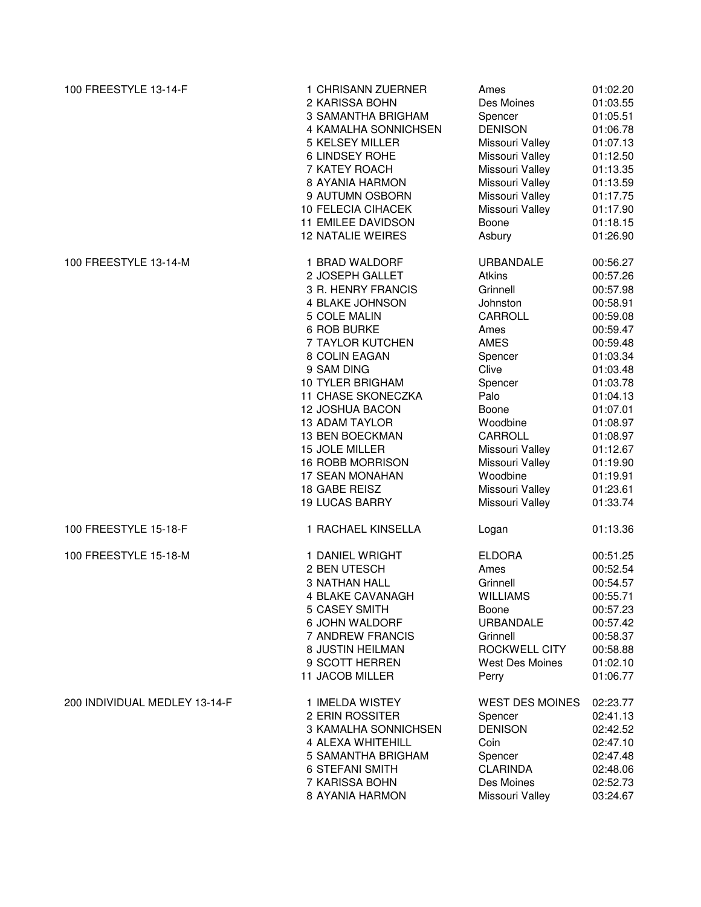| 100 FREESTYLE 13-14-F         | 1 CHRISANN ZUERNER        | Ames                   | 01:02.20 |
|-------------------------------|---------------------------|------------------------|----------|
|                               | 2 KARISSA BOHN            | Des Moines             | 01:03.55 |
|                               | 3 SAMANTHA BRIGHAM        | Spencer                | 01:05.51 |
|                               | 4 KAMALHA SONNICHSEN      | <b>DENISON</b>         | 01:06.78 |
|                               | 5 KELSEY MILLER           | Missouri Valley        | 01:07.13 |
|                               | 6 LINDSEY ROHE            | Missouri Valley        | 01:12.50 |
|                               | 7 KATEY ROACH             | Missouri Valley        | 01:13.35 |
|                               | 8 AYANIA HARMON           | Missouri Valley        | 01:13.59 |
|                               | 9 AUTUMN OSBORN           | Missouri Valley        | 01:17.75 |
|                               | <b>10 FELECIA CIHACEK</b> | Missouri Valley        | 01:17.90 |
|                               | 11 EMILEE DAVIDSON        | Boone                  | 01:18.15 |
|                               | <b>12 NATALIE WEIRES</b>  | Asbury                 | 01:26.90 |
| 100 FREESTYLE 13-14-M         | 1 BRAD WALDORF            | <b>URBANDALE</b>       | 00:56.27 |
|                               | 2 JOSEPH GALLET           | Atkins                 | 00:57.26 |
|                               | 3 R. HENRY FRANCIS        | Grinnell               | 00:57.98 |
|                               | 4 BLAKE JOHNSON           | Johnston               | 00:58.91 |
|                               | 5 COLE MALIN              | CARROLL                | 00:59.08 |
|                               | 6 ROB BURKE               | Ames                   | 00:59.47 |
|                               | 7 TAYLOR KUTCHEN          | AMES                   | 00:59.48 |
|                               | 8 COLIN EAGAN             | Spencer                | 01:03.34 |
|                               | 9 SAM DING                | Clive                  | 01:03.48 |
|                               | <b>10 TYLER BRIGHAM</b>   |                        |          |
|                               | <b>11 CHASE SKONECZKA</b> | Spencer<br>Palo        | 01:03.78 |
|                               |                           |                        | 01:04.13 |
|                               | <b>12 JOSHUA BACON</b>    | Boone                  | 01:07.01 |
|                               | <b>13 ADAM TAYLOR</b>     | Woodbine               | 01:08.97 |
|                               | 13 BEN BOECKMAN           | CARROLL                | 01:08.97 |
|                               | 15 JOLE MILLER            | Missouri Valley        | 01:12.67 |
|                               | 16 ROBB MORRISON          | Missouri Valley        | 01:19.90 |
|                               | 17 SEAN MONAHAN           | Woodbine               | 01:19.91 |
|                               | 18 GABE REISZ             | Missouri Valley        | 01:23.61 |
|                               | <b>19 LUCAS BARRY</b>     | Missouri Valley        | 01:33.74 |
| 100 FREESTYLE 15-18-F         | 1 RACHAEL KINSELLA        | Logan                  | 01:13.36 |
| 100 FREESTYLE 15-18-M         | 1 DANIEL WRIGHT           | <b>ELDORA</b>          | 00:51.25 |
|                               | 2 BEN UTESCH              | Ames                   | 00:52.54 |
|                               | <b>3 NATHAN HALL</b>      | Grinnell               | 00:54.57 |
|                               | 4 BLAKE CAVANAGH          | <b>WILLIAMS</b>        | 00:55.71 |
|                               | <b>5 CASEY SMITH</b>      | Boone                  | 00:57.23 |
|                               | 6 JOHN WALDORF            | <b>URBANDALE</b>       | 00:57.42 |
|                               | <b>7 ANDREW FRANCIS</b>   | Grinnell               | 00:58.37 |
|                               | 8 JUSTIN HEILMAN          | ROCKWELL CITY          | 00:58.88 |
|                               | 9 SCOTT HERREN            | West Des Moines        | 01:02.10 |
|                               | 11 JACOB MILLER           | Perry                  | 01:06.77 |
| 200 INDIVIDUAL MEDLEY 13-14-F | 1 IMELDA WISTEY           | <b>WEST DES MOINES</b> | 02:23.77 |
|                               | 2 ERIN ROSSITER           | Spencer                | 02:41.13 |
|                               | 3 KAMALHA SONNICHSEN      | <b>DENISON</b>         | 02:42.52 |
|                               | 4 ALEXA WHITEHILL         | Coin                   | 02:47.10 |
|                               | 5 SAMANTHA BRIGHAM        | Spencer                | 02:47.48 |
|                               | <b>6 STEFANI SMITH</b>    | <b>CLARINDA</b>        | 02:48.06 |
|                               | 7 KARISSA BOHN            | Des Moines             | 02:52.73 |
|                               | 8 AYANIA HARMON           | Missouri Valley        | 03:24.67 |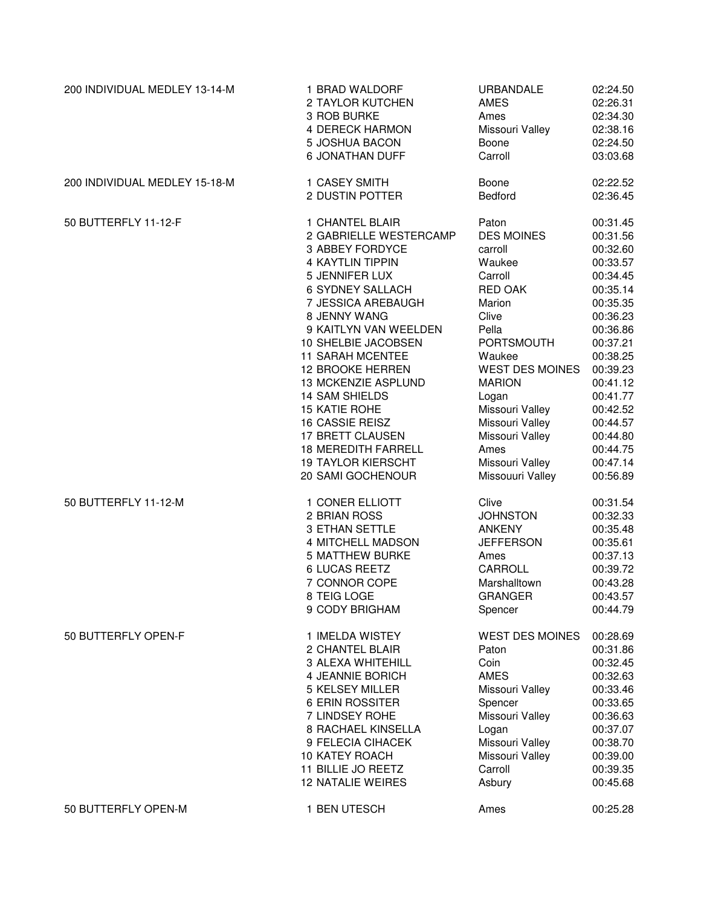| 200 INDIVIDUAL MEDLEY 13-14-M | 1 BRAD WALDORF             | URBANDALE              | 02:24.50 |
|-------------------------------|----------------------------|------------------------|----------|
|                               | 2 TAYLOR KUTCHEN           | AMES                   | 02:26.31 |
|                               | 3 ROB BURKE                | Ames                   | 02:34.30 |
|                               | <b>4 DERECK HARMON</b>     | Missouri Valley        | 02:38.16 |
|                               | 5 JOSHUA BACON             | Boone                  | 02:24.50 |
|                               | <b>6 JONATHAN DUFF</b>     | Carroll                | 03:03.68 |
| 200 INDIVIDUAL MEDLEY 15-18-M | 1 CASEY SMITH              | Boone                  | 02:22.52 |
|                               | 2 DUSTIN POTTER            | Bedford                | 02:36.45 |
| 50 BUTTERFLY 11-12-F          | 1 CHANTEL BLAIR            | Paton                  | 00:31.45 |
|                               | 2 GABRIELLE WESTERCAMP     | <b>DES MOINES</b>      | 00:31.56 |
|                               | 3 ABBEY FORDYCE            | carroll                | 00:32.60 |
|                               | 4 KAYTLIN TIPPIN           | Waukee                 | 00:33.57 |
|                               | 5 JENNIFER LUX             | Carroll                | 00:34.45 |
|                               | <b>6 SYDNEY SALLACH</b>    | <b>RED OAK</b>         | 00:35.14 |
|                               | 7 JESSICA AREBAUGH         | Marion                 | 00:35.35 |
|                               | 8 JENNY WANG               | Clive                  | 00:36.23 |
|                               | 9 KAITLYN VAN WEELDEN      | Pella                  | 00:36.86 |
|                               | 10 SHELBIE JACOBSEN        | <b>PORTSMOUTH</b>      | 00:37.21 |
|                               | <b>11 SARAH MCENTEE</b>    | Waukee                 | 00:38.25 |
|                               | 12 BROOKE HERREN           | <b>WEST DES MOINES</b> | 00:39.23 |
|                               | 13 MCKENZIE ASPLUND        | <b>MARION</b>          | 00:41.12 |
|                               | <b>14 SAM SHIELDS</b>      | Logan                  | 00:41.77 |
|                               | <b>15 KATIE ROHE</b>       | Missouri Valley        | 00:42.52 |
|                               | 16 CASSIE REISZ            | Missouri Valley        | 00:44.57 |
|                               | 17 BRETT CLAUSEN           | Missouri Valley        | 00:44.80 |
|                               | <b>18 MEREDITH FARRELL</b> | Ames                   | 00:44.75 |
|                               | <b>19 TAYLOR KIERSCHT</b>  | Missouri Valley        | 00:47.14 |
|                               | 20 SAMI GOCHENOUR          | Missouuri Valley       | 00:56.89 |
| 50 BUTTERFLY 11-12-M          | 1 CONER ELLIOTT            | Clive                  | 00:31.54 |
|                               | 2 BRIAN ROSS               | <b>JOHNSTON</b>        | 00:32.33 |
|                               | 3 ETHAN SETTLE             | <b>ANKENY</b>          | 00:35.48 |
|                               | 4 MITCHELL MADSON          | <b>JEFFERSON</b>       | 00:35.61 |
|                               | <b>5 MATTHEW BURKE</b>     | Ames                   | 00:37.13 |
|                               | <b>6 LUCAS REETZ</b>       | CARROLL                | 00:39.72 |
|                               | 7 CONNOR COPE              | Marshalltown           | 00:43.28 |
|                               | 8 TEIG LOGE                | <b>GRANGER</b>         | 00:43.57 |
|                               | 9 CODY BRIGHAM             | Spencer                | 00:44.79 |
| 50 BUTTERFLY OPEN-F           | 1 IMELDA WISTEY            | <b>WEST DES MOINES</b> | 00:28.69 |
|                               | 2 CHANTEL BLAIR            | Paton                  | 00:31.86 |
|                               | 3 ALEXA WHITEHILL          | Coin                   | 00:32.45 |
|                               | 4 JEANNIE BORICH           | <b>AMES</b>            | 00:32.63 |
|                               | <b>5 KELSEY MILLER</b>     | Missouri Valley        | 00:33.46 |
|                               | 6 ERIN ROSSITER            | Spencer                | 00:33.65 |
|                               | 7 LINDSEY ROHE             | Missouri Valley        | 00:36.63 |
|                               | 8 RACHAEL KINSELLA         | Logan                  | 00:37.07 |
|                               | 9 FELECIA CIHACEK          | Missouri Valley        | 00:38.70 |
|                               | 10 KATEY ROACH             | Missouri Valley        | 00:39.00 |
|                               | 11 BILLIE JO REETZ         | Carroll                | 00:39.35 |
|                               | <b>12 NATALIE WEIRES</b>   | Asbury                 | 00:45.68 |
| 50 BUTTERFLY OPEN-M           | 1 BEN UTESCH               | Ames                   | 00:25.28 |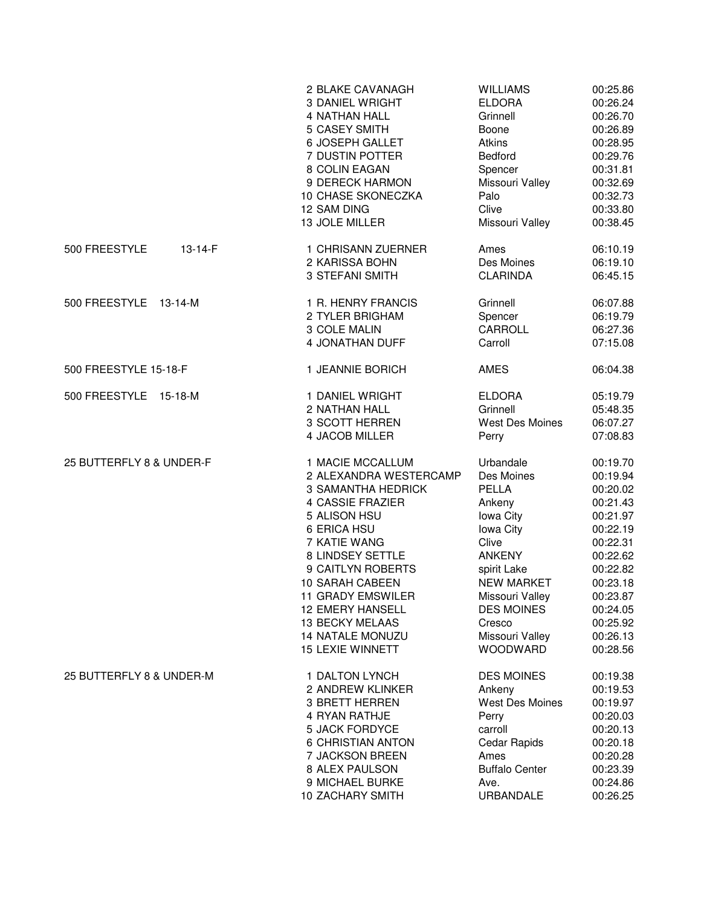|                          | 2 BLAKE CAVANAGH                                        | <b>WILLIAMS</b>                       | 00:25.86                         |
|--------------------------|---------------------------------------------------------|---------------------------------------|----------------------------------|
|                          | 3 DANIEL WRIGHT                                         | <b>ELDORA</b>                         | 00:26.24                         |
|                          | <b>4 NATHAN HALL</b>                                    | Grinnell                              | 00:26.70                         |
|                          | <b>5 CASEY SMITH</b>                                    | Boone                                 | 00:26.89                         |
|                          | 6 JOSEPH GALLET                                         | Atkins                                | 00:28.95                         |
|                          | 7 DUSTIN POTTER                                         | Bedford                               | 00:29.76                         |
|                          | 8 COLIN EAGAN                                           | Spencer                               | 00:31.81                         |
|                          | 9 DERECK HARMON                                         | Missouri Valley                       | 00:32.69                         |
|                          | 10 CHASE SKONECZKA                                      | Palo                                  | 00:32.73                         |
|                          | 12 SAM DING                                             | Clive                                 | 00:33.80                         |
|                          | 13 JOLE MILLER                                          | Missouri Valley                       | 00:38.45                         |
| 500 FREESTYLE<br>13-14-F | 1 CHRISANN ZUERNER<br>2 KARISSA BOHN<br>3 STEFANI SMITH | Ames<br>Des Moines<br><b>CLARINDA</b> | 06:10.19<br>06:19.10<br>06:45.15 |
| 500 FREESTYLE 13-14-M    | 1 R. HENRY FRANCIS                                      | Grinnell                              | 06:07.88                         |
|                          | 2 TYLER BRIGHAM                                         | Spencer                               | 06:19.79                         |
|                          | 3 COLE MALIN                                            | CARROLL                               | 06:27.36                         |
|                          | 4 JONATHAN DUFF                                         | Carroll                               | 07:15.08                         |
| 500 FREESTYLE 15-18-F    | 1 JEANNIE BORICH                                        | AMES                                  | 06:04.38                         |
| 500 FREESTYLE 15-18-M    | 1 DANIEL WRIGHT                                         | <b>ELDORA</b>                         | 05:19.79                         |
|                          | 2 NATHAN HALL                                           | Grinnell                              | 05:48.35                         |
|                          | 3 SCOTT HERREN                                          | West Des Moines                       | 06:07.27                         |
|                          | 4 JACOB MILLER                                          | Perry                                 | 07:08.83                         |
| 25 BUTTERFLY 8 & UNDER-F | 1 MACIE MCCALLUM                                        | Urbandale                             | 00:19.70                         |
|                          | 2 ALEXANDRA WESTERCAMP                                  | Des Moines                            | 00:19.94                         |
|                          | <b>3 SAMANTHA HEDRICK</b>                               | PELLA                                 | 00:20.02                         |
|                          | <b>4 CASSIE FRAZIER</b>                                 | Ankeny                                | 00:21.43                         |
|                          | 5 ALISON HSU                                            | lowa City                             | 00:21.97                         |
|                          | 6 ERICA HSU                                             | Iowa City                             | 00:22.19                         |
|                          | 7 KATIE WANG                                            | Clive                                 | 00:22.31                         |
|                          | 8 LINDSEY SETTLE                                        | <b>ANKENY</b>                         | 00:22.62                         |
|                          | 9 CAITLYN ROBERTS                                       | spirit Lake                           | 00:22.82                         |
|                          | 10 SARAH CABEEN                                         | <b>NEW MARKET</b>                     | 00:23.18                         |
|                          | <b>11 GRADY EMSWILER</b>                                | Missouri Valley                       | 00:23.87                         |
|                          | <b>12 EMERY HANSELL</b>                                 | <b>DES MOINES</b>                     | 00:24.05                         |
|                          | 13 BECKY MELAAS                                         | Cresco                                | 00:25.92                         |
|                          | <b>14 NATALE MONUZU</b>                                 | Missouri Valley                       | 00:26.13                         |
|                          | <b>15 LEXIE WINNETT</b>                                 | <b>WOODWARD</b>                       | 00:28.56                         |
| 25 BUTTERFLY 8 & UNDER-M | 1 DALTON LYNCH                                          | <b>DES MOINES</b>                     | 00:19.38                         |
|                          | 2 ANDREW KLINKER                                        | Ankeny                                | 00:19.53                         |
|                          | 3 BRETT HERREN                                          | <b>West Des Moines</b>                | 00:19.97                         |
|                          | 4 RYAN RATHJE                                           | Perry                                 | 00:20.03                         |
|                          | <b>5 JACK FORDYCE</b>                                   | carroll                               | 00:20.13                         |
|                          | <b>6 CHRISTIAN ANTON</b>                                | Cedar Rapids                          | 00:20.18                         |
|                          | 7 JACKSON BREEN                                         | Ames                                  | 00:20.28                         |
|                          | 8 ALEX PAULSON                                          | <b>Buffalo Center</b>                 | 00:23.39                         |
|                          | 9 MICHAEL BURKE                                         | Ave.                                  | 00:24.86                         |
|                          | 10 ZACHARY SMITH                                        | URBANDALE                             | 00:26.25                         |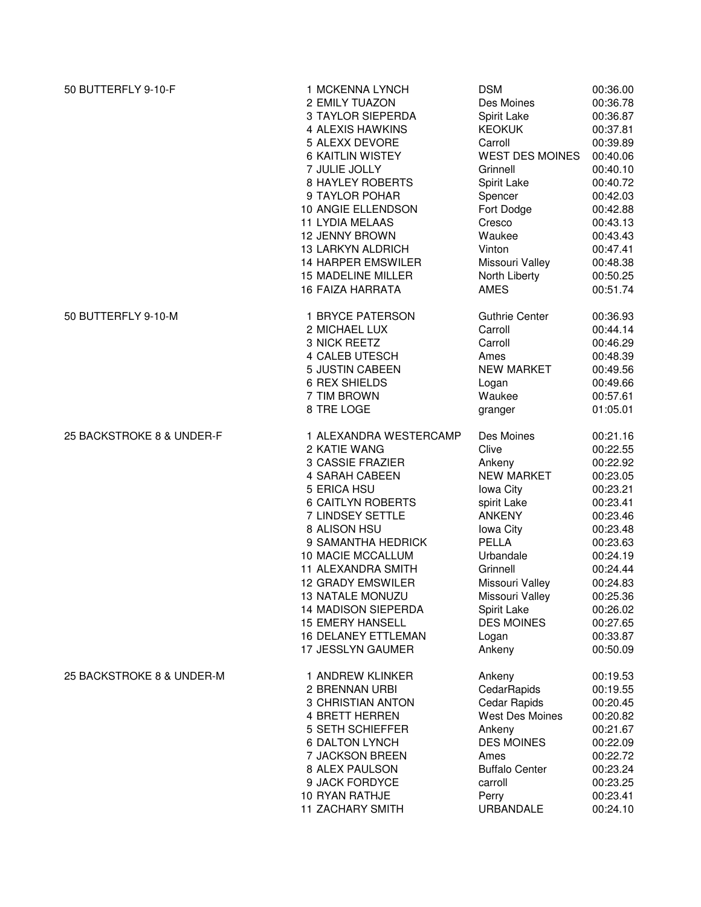| 50 BUTTERFLY 9-10-F       | 1 MCKENNA LYNCH            | <b>DSM</b>             | 00:36.00 |
|---------------------------|----------------------------|------------------------|----------|
|                           | 2 EMILY TUAZON             | Des Moines             | 00:36.78 |
|                           | <b>3 TAYLOR SIEPERDA</b>   | Spirit Lake            | 00:36.87 |
|                           | 4 ALEXIS HAWKINS           | <b>KEOKUK</b>          | 00:37.81 |
|                           | 5 ALEXX DEVORE             | Carroll                | 00:39.89 |
|                           | <b>6 KAITLIN WISTEY</b>    | <b>WEST DES MOINES</b> | 00:40.06 |
|                           | 7 JULIE JOLLY              | Grinnell               | 00:40.10 |
|                           | <b>8 HAYLEY ROBERTS</b>    | Spirit Lake            | 00:40.72 |
|                           | 9 TAYLOR POHAR             | Spencer                | 00:42.03 |
|                           | 10 ANGIE ELLENDSON         | Fort Dodge             | 00:42.88 |
|                           | <b>11 LYDIA MELAAS</b>     | Cresco                 | 00:43.13 |
|                           | <b>12 JENNY BROWN</b>      | Waukee                 | 00:43.43 |
|                           | 13 LARKYN ALDRICH          | Vinton                 | 00:47.41 |
|                           | <b>14 HARPER EMSWILER</b>  | Missouri Valley        | 00:48.38 |
|                           | <b>15 MADELINE MILLER</b>  | North Liberty          | 00:50.25 |
|                           | <b>16 FAIZA HARRATA</b>    | <b>AMES</b>            | 00:51.74 |
| 50 BUTTERFLY 9-10-M       | 1 BRYCE PATERSON           | <b>Guthrie Center</b>  | 00:36.93 |
|                           | 2 MICHAEL LUX              | Carroll                | 00:44.14 |
|                           | 3 NICK REETZ               | Carroll                | 00:46.29 |
|                           | <b>4 CALEB UTESCH</b>      | Ames                   | 00:48.39 |
|                           | 5 JUSTIN CABEEN            | <b>NEW MARKET</b>      | 00:49.56 |
|                           | <b>6 REX SHIELDS</b>       | Logan                  | 00:49.66 |
|                           | 7 TIM BROWN                | Waukee                 | 00:57.61 |
|                           | 8 TRE LOGE                 | granger                | 01:05.01 |
| 25 BACKSTROKE 8 & UNDER-F | 1 ALEXANDRA WESTERCAMP     | Des Moines             | 00:21.16 |
|                           | 2 KATIE WANG               | Clive                  | 00:22.55 |
|                           | 3 CASSIE FRAZIER           | Ankeny                 | 00:22.92 |
|                           | 4 SARAH CABEEN             | <b>NEW MARKET</b>      | 00:23.05 |
|                           | 5 ERICA HSU                | lowa City              | 00:23.21 |
|                           | <b>6 CAITLYN ROBERTS</b>   | spirit Lake            | 00:23.41 |
|                           | 7 LINDSEY SETTLE           | <b>ANKENY</b>          | 00:23.46 |
|                           | 8 ALISON HSU               | lowa City              | 00:23.48 |
|                           | 9 SAMANTHA HEDRICK         | <b>PELLA</b>           | 00:23.63 |
|                           | 10 MACIE MCCALLUM          | Urbandale              | 00:24.19 |
|                           | 11 ALEXANDRA SMITH         | Grinnell               | 00:24.44 |
|                           | <b>12 GRADY EMSWILER</b>   | Missouri Valley        | 00:24.83 |
|                           | <b>13 NATALE MONUZU</b>    | Missouri Valley        | 00:25.36 |
|                           | <b>14 MADISON SIEPERDA</b> | Spirit Lake            | 00:26.02 |
|                           | <b>15 EMERY HANSELL</b>    | <b>DES MOINES</b>      | 00:27.65 |
|                           | <b>16 DELANEY ETTLEMAN</b> | Logan                  | 00:33.87 |
|                           | 17 JESSLYN GAUMER          | Ankeny                 | 00:50.09 |
| 25 BACKSTROKE 8 & UNDER-M | 1 ANDREW KLINKER           | Ankeny                 | 00:19.53 |
|                           | 2 BRENNAN URBI             | CedarRapids            | 00:19.55 |
|                           | 3 CHRISTIAN ANTON          | Cedar Rapids           | 00:20.45 |
|                           | <b>4 BRETT HERREN</b>      | <b>West Des Moines</b> | 00:20.82 |
|                           | 5 SETH SCHIEFFER           | Ankeny                 | 00:21.67 |
|                           | <b>6 DALTON LYNCH</b>      | <b>DES MOINES</b>      | 00:22.09 |
|                           | 7 JACKSON BREEN            | Ames                   | 00:22.72 |
|                           | 8 ALEX PAULSON             | <b>Buffalo Center</b>  | 00:23.24 |
|                           | 9 JACK FORDYCE             | carroll                | 00:23.25 |
|                           | 10 RYAN RATHJE             | Perry                  | 00:23.41 |
|                           | <b>11 ZACHARY SMITH</b>    | URBANDALE              | 00:24.10 |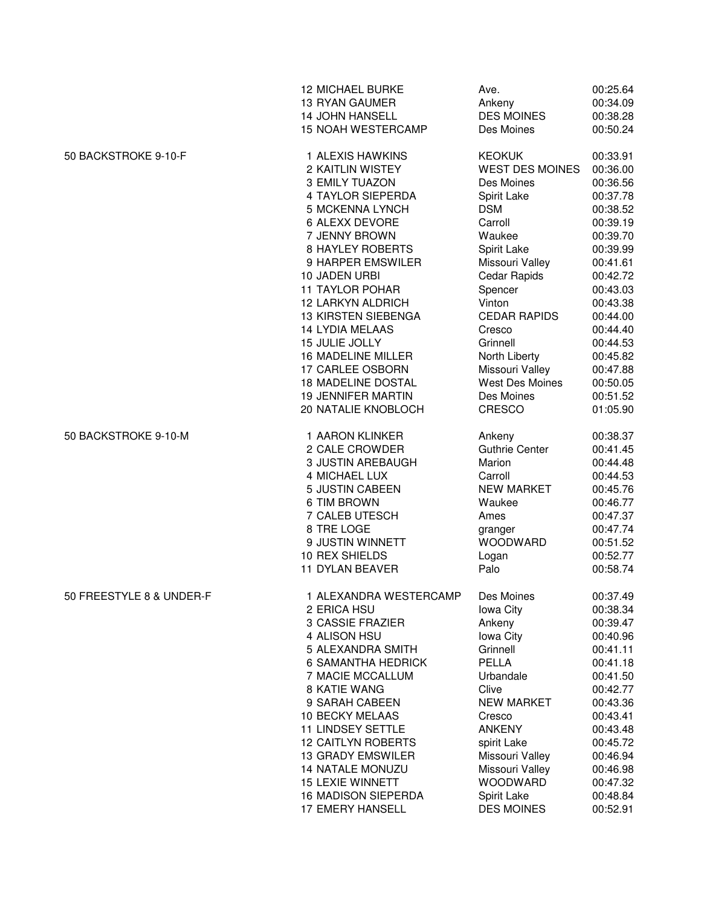|                          | <b>12 MICHAEL BURKE</b>   | Ave.                   | 00:25.64 |
|--------------------------|---------------------------|------------------------|----------|
|                          | 13 RYAN GAUMER            | Ankeny                 | 00:34.09 |
|                          | <b>14 JOHN HANSELL</b>    | <b>DES MOINES</b>      | 00:38.28 |
|                          | 15 NOAH WESTERCAMP        | Des Moines             | 00:50.24 |
| 50 BACKSTROKE 9-10-F     | 1 ALEXIS HAWKINS          | <b>KEOKUK</b>          | 00:33.91 |
|                          | 2 KAITLIN WISTEY          | <b>WEST DES MOINES</b> | 00:36.00 |
|                          | 3 EMILY TUAZON            | Des Moines             | 00:36.56 |
|                          | 4 TAYLOR SIEPERDA         | Spirit Lake            | 00:37.78 |
|                          | 5 MCKENNA LYNCH           | <b>DSM</b>             | 00:38.52 |
|                          | 6 ALEXX DEVORE            | Carroll                | 00:39.19 |
|                          | 7 JENNY BROWN             | Waukee                 | 00:39.70 |
|                          | <b>8 HAYLEY ROBERTS</b>   | Spirit Lake            | 00:39.99 |
|                          | 9 HARPER EMSWILER         | Missouri Valley        | 00:41.61 |
|                          | 10 JADEN URBI             | Cedar Rapids           | 00:42.72 |
|                          | <b>11 TAYLOR POHAR</b>    | Spencer                | 00:43.03 |
|                          | 12 LARKYN ALDRICH         | Vinton                 | 00:43.38 |
|                          | 13 KIRSTEN SIEBENGA       | <b>CEDAR RAPIDS</b>    | 00:44.00 |
|                          | <b>14 LYDIA MELAAS</b>    | Cresco                 | 00:44.40 |
|                          | 15 JULIE JOLLY            | Grinnell               | 00:44.53 |
|                          | <b>16 MADELINE MILLER</b> | North Liberty          | 00:45.82 |
|                          | 17 CARLEE OSBORN          | Missouri Valley        | 00:47.88 |
|                          | 18 MADELINE DOSTAL        | West Des Moines        | 00:50.05 |
|                          | <b>19 JENNIFER MARTIN</b> | Des Moines             | 00:51.52 |
|                          | 20 NATALIE KNOBLOCH       | CRESCO                 | 01:05.90 |
| 50 BACKSTROKE 9-10-M     | 1 AARON KLINKER           | Ankeny                 | 00:38.37 |
|                          | 2 CALE CROWDER            | <b>Guthrie Center</b>  | 00:41.45 |
|                          | 3 JUSTIN AREBAUGH         | Marion                 | 00:44.48 |
|                          | 4 MICHAEL LUX             | Carroll                | 00:44.53 |
|                          | 5 JUSTIN CABEEN           | <b>NEW MARKET</b>      | 00:45.76 |
|                          | 6 TIM BROWN               | Waukee                 | 00:46.77 |
|                          | 7 CALEB UTESCH            | Ames                   | 00:47.37 |
|                          | 8 TRE LOGE                | granger                | 00:47.74 |
|                          | 9 JUSTIN WINNETT          | <b>WOODWARD</b>        | 00:51.52 |
|                          | 10 REX SHIELDS            | Logan                  | 00:52.77 |
|                          | 11 DYLAN BEAVER           | Palo                   | 00:58.74 |
| 50 FREESTYLE 8 & UNDER-F | 1 ALEXANDRA WESTERCAMP    | Des Moines             | 00:37.49 |
|                          | 2 ERICA HSU               | <b>lowa City</b>       | 00:38.34 |
|                          | 3 CASSIE FRAZIER          | Ankeny                 | 00:39.47 |
|                          | 4 ALISON HSU              | Iowa City              | 00:40.96 |
|                          | 5 ALEXANDRA SMITH         | Grinnell               | 00:41.11 |
|                          | <b>6 SAMANTHA HEDRICK</b> | <b>PELLA</b>           | 00:41.18 |
|                          | 7 MACIE MCCALLUM          | Urbandale              | 00:41.50 |
|                          | 8 KATIE WANG              | Clive                  | 00:42.77 |
|                          | 9 SARAH CABEEN            | <b>NEW MARKET</b>      | 00:43.36 |
|                          | 10 BECKY MELAAS           | Cresco                 | 00:43.41 |
|                          | <b>11 LINDSEY SETTLE</b>  | <b>ANKENY</b>          | 00:43.48 |
|                          | <b>12 CAITLYN ROBERTS</b> | spirit Lake            | 00:45.72 |
|                          | <b>13 GRADY EMSWILER</b>  | Missouri Valley        | 00:46.94 |
|                          | <b>14 NATALE MONUZU</b>   | Missouri Valley        | 00:46.98 |
|                          | <b>15 LEXIE WINNETT</b>   | <b>WOODWARD</b>        | 00:47.32 |
|                          | 16 MADISON SIEPERDA       | Spirit Lake            | 00:48.84 |
|                          | 17 EMERY HANSELL          | <b>DES MOINES</b>      | 00:52.91 |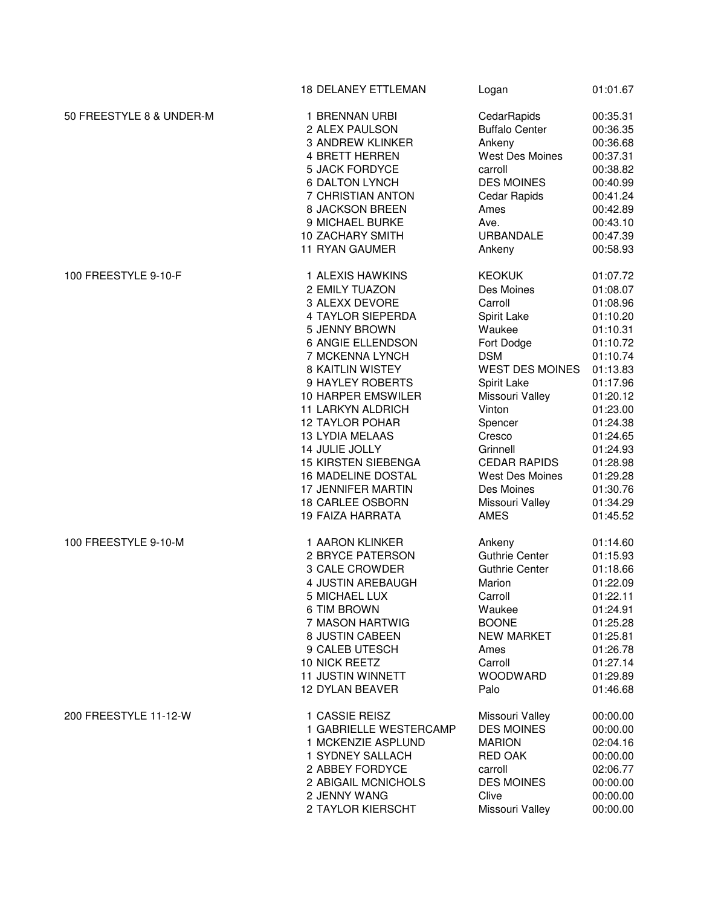|                          | <b>18 DELANEY ETTLEMAN</b> | Logan                  | 01:01.67 |
|--------------------------|----------------------------|------------------------|----------|
| 50 FREESTYLE 8 & UNDER-M | 1 BRENNAN URBI             | CedarRapids            | 00:35.31 |
|                          | 2 ALEX PAULSON             | <b>Buffalo Center</b>  | 00:36.35 |
|                          | 3 ANDREW KLINKER           | Ankeny                 | 00:36.68 |
|                          | 4 BRETT HERREN             | <b>West Des Moines</b> | 00:37.31 |
|                          | <b>5 JACK FORDYCE</b>      | carroll                | 00:38.82 |
|                          | <b>6 DALTON LYNCH</b>      | <b>DES MOINES</b>      | 00:40.99 |
|                          | 7 CHRISTIAN ANTON          | Cedar Rapids           | 00:41.24 |
|                          | 8 JACKSON BREEN            | Ames                   | 00:42.89 |
|                          | 9 MICHAEL BURKE            | Ave.                   | 00:43.10 |
|                          | <b>10 ZACHARY SMITH</b>    | URBANDALE              | 00:47.39 |
|                          | 11 RYAN GAUMER             | Ankeny                 | 00:58.93 |
| 100 FREESTYLE 9-10-F     | 1 ALEXIS HAWKINS           | <b>KEOKUK</b>          | 01:07.72 |
|                          | 2 EMILY TUAZON             | Des Moines             | 01:08.07 |
|                          | 3 ALEXX DEVORE             | Carroll                | 01:08.96 |
|                          | 4 TAYLOR SIEPERDA          | Spirit Lake            | 01:10.20 |
|                          | 5 JENNY BROWN              | Waukee                 | 01:10.31 |
|                          | 6 ANGIE ELLENDSON          | Fort Dodge             | 01:10.72 |
|                          | 7 MCKENNA LYNCH            | <b>DSM</b>             | 01:10.74 |
|                          | <b>8 KAITLIN WISTEY</b>    | <b>WEST DES MOINES</b> | 01:13.83 |
|                          | 9 HAYLEY ROBERTS           | Spirit Lake            | 01:17.96 |
|                          | 10 HARPER EMSWILER         | Missouri Valley        | 01:20.12 |
|                          | <b>11 LARKYN ALDRICH</b>   | Vinton                 | 01:23.00 |
|                          | <b>12 TAYLOR POHAR</b>     | Spencer                | 01:24.38 |
|                          | <b>13 LYDIA MELAAS</b>     | Cresco                 | 01:24.65 |
|                          | 14 JULIE JOLLY             | Grinnell               | 01:24.93 |
|                          | <b>15 KIRSTEN SIEBENGA</b> | <b>CEDAR RAPIDS</b>    | 01:28.98 |
|                          | <b>16 MADELINE DOSTAL</b>  | <b>West Des Moines</b> | 01:29.28 |
|                          | 17 JENNIFER MARTIN         | Des Moines             | 01:30.76 |
|                          | <b>18 CARLEE OSBORN</b>    | Missouri Valley        | 01:34.29 |
|                          | <b>19 FAIZA HARRATA</b>    | <b>AMES</b>            | 01:45.52 |
| 100 FREESTYLE 9-10-M     | 1 AARON KLINKER            | Ankeny                 | 01:14.60 |
|                          | 2 BRYCE PATERSON           | <b>Guthrie Center</b>  | 01:15.93 |
|                          | 3 CALE CROWDER             | <b>Guthrie Center</b>  | 01:18.66 |
|                          | 4 JUSTIN AREBAUGH          | Marion                 | 01:22.09 |
|                          | 5 MICHAEL LUX              | Carroll                | 01:22.11 |
|                          | 6 TIM BROWN                | Waukee                 | 01:24.91 |
|                          | 7 MASON HARTWIG            | <b>BOONE</b>           | 01:25.28 |
|                          | 8 JUSTIN CABEEN            | <b>NEW MARKET</b>      | 01:25.81 |
|                          | 9 CALEB UTESCH             | Ames                   | 01:26.78 |
|                          | 10 NICK REETZ              | Carroll                | 01:27.14 |
|                          | 11 JUSTIN WINNETT          | <b>WOODWARD</b>        | 01:29.89 |
|                          | 12 DYLAN BEAVER            | Palo                   | 01:46.68 |
| 200 FREESTYLE 11-12-W    | 1 CASSIE REISZ             | Missouri Valley        | 00:00.00 |
|                          | 1 GABRIELLE WESTERCAMP     | <b>DES MOINES</b>      | 00:00.00 |
|                          | 1 MCKENZIE ASPLUND         | <b>MARION</b>          | 02:04.16 |
|                          | 1 SYDNEY SALLACH           | <b>RED OAK</b>         | 00:00.00 |
|                          | 2 ABBEY FORDYCE            | carroll                | 02:06.77 |
|                          | 2 ABIGAIL MCNICHOLS        | <b>DES MOINES</b>      | 00:00.00 |
|                          | 2 JENNY WANG               | Clive                  | 00:00.00 |
|                          | 2 TAYLOR KIERSCHT          | Missouri Valley        | 00:00.00 |
|                          |                            |                        |          |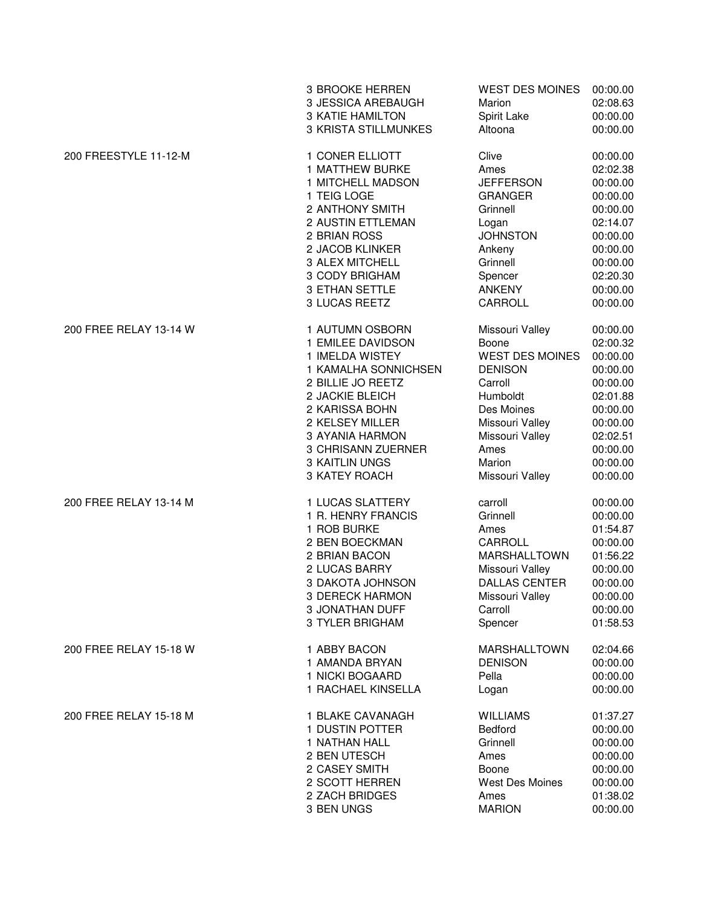|                        | 3 BROOKE HERREN             | <b>WEST DES MOINES</b> | 00:00.00 |
|------------------------|-----------------------------|------------------------|----------|
|                        | 3 JESSICA AREBAUGH          | Marion                 | 02:08.63 |
|                        | <b>3 KATIE HAMILTON</b>     | Spirit Lake            | 00:00.00 |
|                        | <b>3 KRISTA STILLMUNKES</b> | Altoona                | 00:00.00 |
| 200 FREESTYLE 11-12-M  | 1 CONER ELLIOTT             | Clive                  | 00:00.00 |
|                        | 1 MATTHEW BURKE             | Ames                   | 02:02.38 |
|                        | 1 MITCHELL MADSON           | <b>JEFFERSON</b>       | 00:00.00 |
|                        | 1 TEIG LOGE                 | <b>GRANGER</b>         | 00:00.00 |
|                        | 2 ANTHONY SMITH             | Grinnell               | 00:00.00 |
|                        | 2 AUSTIN ETTLEMAN           | Logan                  | 02:14.07 |
|                        | 2 BRIAN ROSS                | <b>JOHNSTON</b>        | 00:00.00 |
|                        | 2 JACOB KLINKER             | Ankeny                 | 00:00.00 |
|                        | 3 ALEX MITCHELL             | Grinnell               | 00:00.00 |
|                        | 3 CODY BRIGHAM              | Spencer                | 02:20.30 |
|                        | 3 ETHAN SETTLE              | <b>ANKENY</b>          | 00:00.00 |
|                        | 3 LUCAS REETZ               | CARROLL                | 00:00.00 |
| 200 FREE RELAY 13-14 W | 1 AUTUMN OSBORN             | Missouri Valley        | 00:00.00 |
|                        | 1 EMILEE DAVIDSON           | Boone                  | 02:00.32 |
|                        | 1 IMELDA WISTEY             | <b>WEST DES MOINES</b> | 00:00.00 |
|                        | 1 KAMALHA SONNICHSEN        | <b>DENISON</b>         | 00:00.00 |
|                        | 2 BILLIE JO REETZ           | Carroll                | 00:00.00 |
|                        | 2 JACKIE BLEICH             | Humboldt               | 02:01.88 |
|                        | 2 KARISSA BOHN              | Des Moines             | 00:00.00 |
|                        | 2 KELSEY MILLER             | Missouri Valley        | 00:00.00 |
|                        | 3 AYANIA HARMON             | Missouri Valley        | 02:02.51 |
|                        | 3 CHRISANN ZUERNER          | Ames                   | 00:00.00 |
|                        | <b>3 KAITLIN UNGS</b>       | Marion                 | 00:00.00 |
|                        | 3 KATEY ROACH               | Missouri Valley        | 00:00.00 |
| 200 FREE RELAY 13-14 M | 1 LUCAS SLATTERY            | carroll                | 00:00.00 |
|                        | 1 R. HENRY FRANCIS          | Grinnell               | 00:00.00 |
|                        | 1 ROB BURKE                 | Ames                   | 01:54.87 |
|                        | 2 BEN BOECKMAN              | CARROLL                | 00:00.00 |
|                        | 2 BRIAN BACON               | MARSHALLTOWN           | 01:56.22 |
|                        | 2 LUCAS BARRY               | Missouri Valley        | 00:00.00 |
|                        | 3 DAKOTA JOHNSON            | <b>DALLAS CENTER</b>   | 00:00.00 |
|                        | 3 DERECK HARMON             | Missouri Valley        | 00:00.00 |
|                        | <b>3 JONATHAN DUFF</b>      | Carroll                | 00:00.00 |
|                        | 3 TYLER BRIGHAM             | Spencer                | 01:58.53 |
| 200 FREE RELAY 15-18 W | 1 ABBY BACON                | <b>MARSHALLTOWN</b>    | 02:04.66 |
|                        | 1 AMANDA BRYAN              | <b>DENISON</b>         | 00:00.00 |
|                        | 1 NICKI BOGAARD             | Pella                  | 00:00.00 |
|                        | 1 RACHAEL KINSELLA          | Logan                  | 00:00.00 |
| 200 FREE RELAY 15-18 M | 1 BLAKE CAVANAGH            | <b>WILLIAMS</b>        | 01:37.27 |
|                        | 1 DUSTIN POTTER             | <b>Bedford</b>         | 00:00.00 |
|                        | 1 NATHAN HALL               | Grinnell               | 00:00.00 |
|                        | 2 BEN UTESCH                | Ames                   | 00:00.00 |
|                        | 2 CASEY SMITH               | Boone                  | 00:00.00 |
|                        | 2 SCOTT HERREN              | <b>West Des Moines</b> | 00:00.00 |
|                        | 2 ZACH BRIDGES              | Ames                   | 01:38.02 |
|                        | 3 BEN UNGS                  | <b>MARION</b>          | 00:00.00 |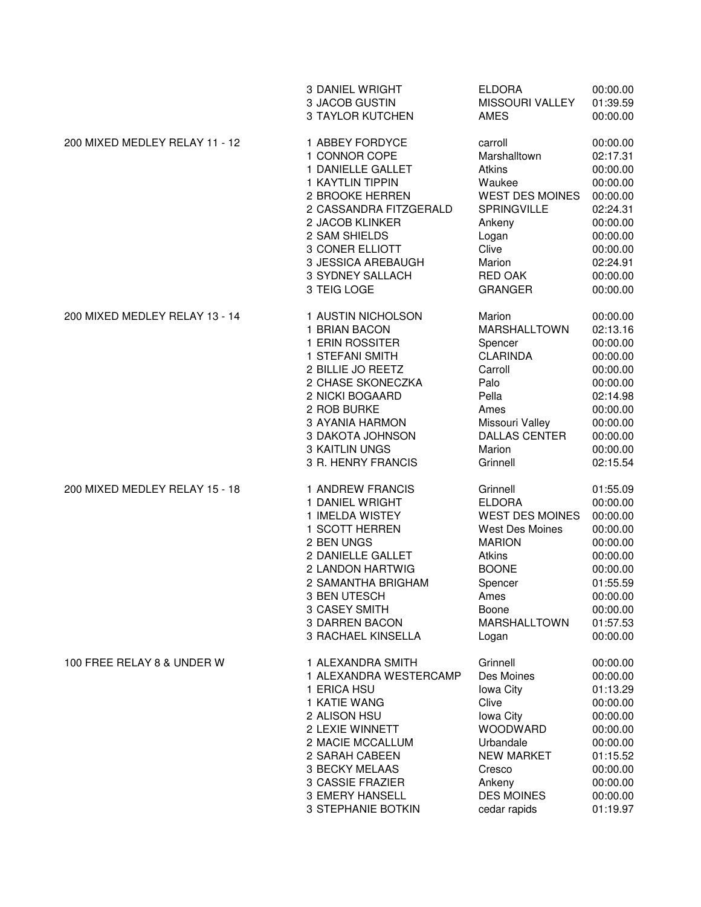|                                | <b>3 DANIEL WRIGHT</b>  | <b>ELDORA</b>          | 00:00.00 |
|--------------------------------|-------------------------|------------------------|----------|
|                                | 3 JACOB GUSTIN          | MISSOURI VALLEY        | 01:39.59 |
|                                | <b>3 TAYLOR KUTCHEN</b> | <b>AMES</b>            | 00:00.00 |
| 200 MIXED MEDLEY RELAY 11 - 12 | 1 ABBEY FORDYCE         | carroll                | 00:00.00 |
|                                | 1 CONNOR COPE           | Marshalltown           | 02:17.31 |
|                                | 1 DANIELLE GALLET       | Atkins                 | 00:00.00 |
|                                | <b>1 KAYTLIN TIPPIN</b> | Waukee                 | 00:00.00 |
|                                | 2 BROOKE HERREN         | <b>WEST DES MOINES</b> | 00:00.00 |
|                                | 2 CASSANDRA FITZGERALD  | <b>SPRINGVILLE</b>     | 02:24.31 |
|                                | 2 JACOB KLINKER         | Ankeny                 | 00:00.00 |
|                                | 2 SAM SHIELDS           | Logan                  | 00:00.00 |
|                                | 3 CONER ELLIOTT         | Clive                  | 00:00.00 |
|                                | 3 JESSICA AREBAUGH      | Marion                 | 02:24.91 |
|                                | 3 SYDNEY SALLACH        | <b>RED OAK</b>         | 00:00.00 |
|                                | 3 TEIG LOGE             | <b>GRANGER</b>         | 00:00.00 |
| 200 MIXED MEDLEY RELAY 13 - 14 | 1 AUSTIN NICHOLSON      | Marion                 | 00:00.00 |
|                                | 1 BRIAN BACON           | <b>MARSHALLTOWN</b>    | 02:13.16 |
|                                | 1 ERIN ROSSITER         | Spencer                | 00:00.00 |
|                                | 1 STEFANI SMITH         | <b>CLARINDA</b>        | 00:00.00 |
|                                | 2 BILLIE JO REETZ       | Carroll                | 00:00.00 |
|                                | 2 CHASE SKONECZKA       | Palo                   | 00:00.00 |
|                                | 2 NICKI BOGAARD         | Pella                  | 02:14.98 |
|                                | 2 ROB BURKE             | Ames                   | 00:00.00 |
|                                | <b>3 AYANIA HARMON</b>  | Missouri Valley        | 00:00.00 |
|                                | 3 DAKOTA JOHNSON        | <b>DALLAS CENTER</b>   | 00:00.00 |
|                                | <b>3 KAITLIN UNGS</b>   | Marion                 | 00:00.00 |
|                                | 3 R. HENRY FRANCIS      | Grinnell               | 02:15.54 |
| 200 MIXED MEDLEY RELAY 15 - 18 | 1 ANDREW FRANCIS        | Grinnell               | 01:55.09 |
|                                | 1 DANIEL WRIGHT         | <b>ELDORA</b>          | 00:00.00 |
|                                | 1 IMELDA WISTEY         | <b>WEST DES MOINES</b> | 00:00.00 |
|                                | 1 SCOTT HERREN          | West Des Moines        | 00:00.00 |
|                                | 2 BEN UNGS              | <b>MARION</b>          | 00:00.00 |
|                                | 2 DANIELLE GALLET       | Atkins                 | 00:00.00 |
|                                | 2 LANDON HARTWIG        | <b>BOONE</b>           | 00:00.00 |
|                                | 2 SAMANTHA BRIGHAM      | Spencer                | 01:55.59 |
|                                | 3 BEN UTESCH            | Ames                   | 00:00.00 |
|                                | 3 CASEY SMITH           | Boone                  | 00:00.00 |
|                                | <b>3 DARREN BACON</b>   | MARSHALLTOWN           | 01:57.53 |
|                                | 3 RACHAEL KINSELLA      | Logan                  | 00:00.00 |
| 100 FREE RELAY 8 & UNDER W     | 1 ALEXANDRA SMITH       | Grinnell               | 00:00.00 |
|                                | 1 ALEXANDRA WESTERCAMP  | Des Moines             | 00:00.00 |
|                                | 1 ERICA HSU             | lowa City              | 01:13.29 |
|                                | 1 KATIE WANG            | Clive                  | 00:00.00 |
|                                | 2 ALISON HSU            | <b>lowa City</b>       | 00:00.00 |
|                                | 2 LEXIE WINNETT         | WOODWARD               | 00:00.00 |
|                                | 2 MACIE MCCALLUM        | Urbandale              | 00:00.00 |
|                                | 2 SARAH CABEEN          | <b>NEW MARKET</b>      | 01:15.52 |
|                                | <b>3 BECKY MELAAS</b>   | Cresco                 | 00:00.00 |
|                                | 3 CASSIE FRAZIER        | Ankeny                 | 00:00.00 |
|                                | <b>3 EMERY HANSELL</b>  | <b>DES MOINES</b>      | 00:00.00 |
|                                | 3 STEPHANIE BOTKIN      | cedar rapids           | 01:19.97 |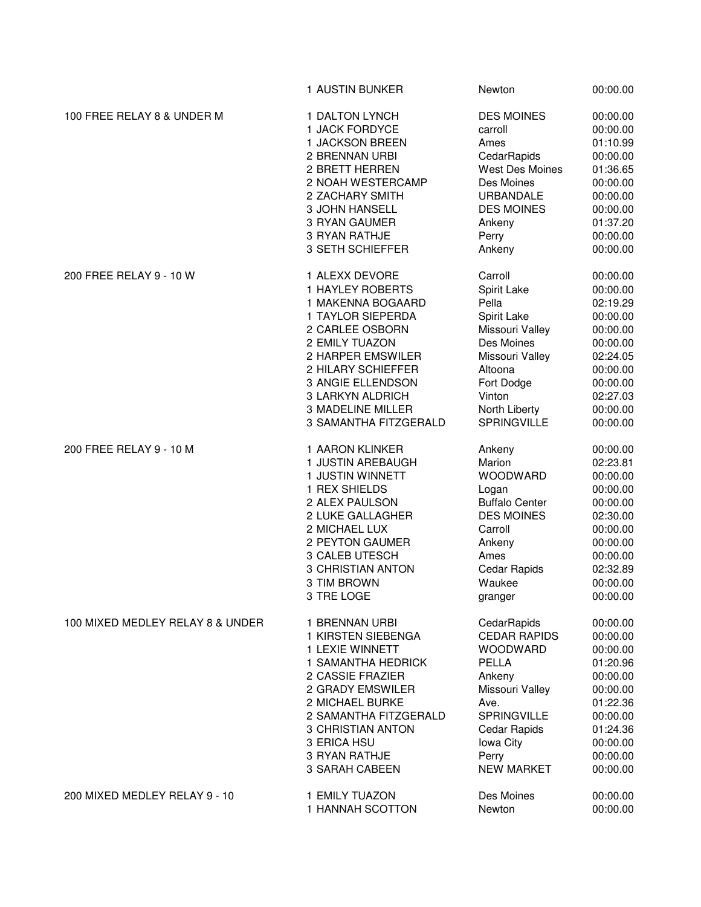|                                  | 1 AUSTIN BUNKER          | Newton                | 00:00.00 |
|----------------------------------|--------------------------|-----------------------|----------|
| 100 FREE RELAY 8 & UNDER M       | 1 DALTON LYNCH           | <b>DES MOINES</b>     | 00:00.00 |
|                                  | 1 JACK FORDYCE           | carroll               | 00:00.00 |
|                                  | 1 JACKSON BREEN          | Ames                  | 01:10.99 |
|                                  | 2 BRENNAN URBI           | CedarRapids           | 00:00.00 |
|                                  | 2 BRETT HERREN           | West Des Moines       | 01:36.65 |
|                                  | 2 NOAH WESTERCAMP        | Des Moines            | 00:00.00 |
|                                  | 2 ZACHARY SMITH          | URBANDALE             | 00:00.00 |
|                                  | <b>3 JOHN HANSELL</b>    | <b>DES MOINES</b>     | 00:00.00 |
|                                  | 3 RYAN GAUMER            | Ankeny                | 01:37.20 |
|                                  | 3 RYAN RATHJE            | Perry                 | 00:00.00 |
|                                  | 3 SETH SCHIEFFER         | Ankeny                | 00:00.00 |
| 200 FREE RELAY 9 - 10 W          | 1 ALEXX DEVORE           | Carroll               | 00:00.00 |
|                                  | 1 HAYLEY ROBERTS         | Spirit Lake           | 00:00.00 |
|                                  | 1 MAKENNA BOGAARD        | Pella                 | 02:19.29 |
|                                  | 1 TAYLOR SIEPERDA        | Spirit Lake           | 00:00.00 |
|                                  | 2 CARLEE OSBORN          | Missouri Valley       | 00:00.00 |
|                                  | 2 EMILY TUAZON           | Des Moines            | 00:00.00 |
|                                  | 2 HARPER EMSWILER        | Missouri Valley       | 02:24.05 |
|                                  | 2 HILARY SCHIEFFER       | Altoona               | 00:00.00 |
|                                  | 3 ANGIE ELLENDSON        | Fort Dodge            | 00:00.00 |
|                                  | 3 LARKYN ALDRICH         | Vinton                | 02:27.03 |
|                                  | <b>3 MADELINE MILLER</b> | North Liberty         | 00:00.00 |
|                                  | 3 SAMANTHA FITZGERALD    | <b>SPRINGVILLE</b>    | 00:00.00 |
| 200 FREE RELAY 9 - 10 M          | 1 AARON KLINKER          | Ankeny                | 00:00.00 |
|                                  | 1 JUSTIN AREBAUGH        | Marion                | 02:23.81 |
|                                  | 1 JUSTIN WINNETT         | <b>WOODWARD</b>       | 00:00.00 |
|                                  | 1 REX SHIELDS            | Logan                 | 00:00.00 |
|                                  | 2 ALEX PAULSON           | <b>Buffalo Center</b> | 00:00.00 |
|                                  | 2 LUKE GALLAGHER         | <b>DES MOINES</b>     | 02:30.00 |
|                                  | 2 MICHAEL LUX            | Carroll               | 00:00.00 |
|                                  | 2 PEYTON GAUMER          | Ankeny                | 00:00.00 |
|                                  | 3 CALEB UTESCH           | Ames                  | 00:00.00 |
|                                  | <b>3 CHRISTIAN ANTON</b> | Cedar Rapids          | 02:32.89 |
|                                  | 3 TIM BROWN              | Waukee                | 00:00.00 |
|                                  | 3 TRE LOGE               | granger               | 00:00.00 |
|                                  |                          |                       |          |
| 100 MIXED MEDLEY RELAY 8 & UNDER | 1 BRENNAN URBI           | CedarRapids           | 00:00.00 |
|                                  | 1 KIRSTEN SIEBENGA       | <b>CEDAR RAPIDS</b>   | 00:00.00 |
|                                  | 1 LEXIE WINNETT          | <b>WOODWARD</b>       | 00:00.00 |
|                                  | 1 SAMANTHA HEDRICK       | PELLA                 | 01:20.96 |
|                                  | 2 CASSIE FRAZIER         | Ankeny                | 00:00.00 |
|                                  | 2 GRADY EMSWILER         | Missouri Valley       | 00:00.00 |
|                                  | 2 MICHAEL BURKE          | Ave.                  | 01:22.36 |
|                                  | 2 SAMANTHA FITZGERALD    | <b>SPRINGVILLE</b>    | 00:00.00 |
|                                  | 3 CHRISTIAN ANTON        | Cedar Rapids          | 01:24.36 |
|                                  | 3 ERICA HSU              | lowa City             | 00:00.00 |
|                                  | 3 RYAN RATHJE            | Perry                 | 00:00.00 |
|                                  | 3 SARAH CABEEN           | <b>NEW MARKET</b>     | 00:00.00 |
| 200 MIXED MEDLEY RELAY 9 - 10    | 1 EMILY TUAZON           | Des Moines            | 00:00.00 |
|                                  | 1 HANNAH SCOTTON         | Newton                | 00:00.00 |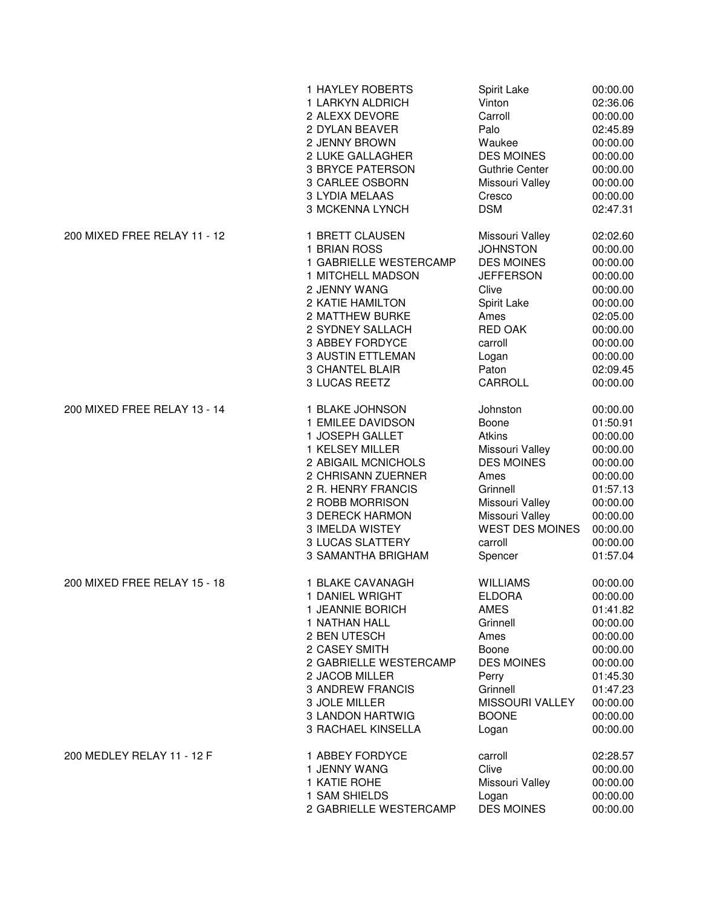|                              | 1 HAYLEY ROBERTS         | Spirit Lake            | 00:00.00 |
|------------------------------|--------------------------|------------------------|----------|
|                              | 1 LARKYN ALDRICH         | Vinton                 | 02:36.06 |
|                              | 2 ALEXX DEVORE           | Carroll                | 00:00.00 |
|                              | 2 DYLAN BEAVER           | Palo                   | 02:45.89 |
|                              | 2 JENNY BROWN            | Waukee                 | 00:00.00 |
|                              | 2 LUKE GALLAGHER         | <b>DES MOINES</b>      | 00:00.00 |
|                              | <b>3 BRYCE PATERSON</b>  | <b>Guthrie Center</b>  | 00:00.00 |
|                              | 3 CARLEE OSBORN          | Missouri Valley        | 00:00.00 |
|                              | 3 LYDIA MELAAS           | Cresco                 | 00:00.00 |
|                              | 3 MCKENNA LYNCH          | <b>DSM</b>             | 02:47.31 |
| 200 MIXED FREE RELAY 11 - 12 | 1 BRETT CLAUSEN          | Missouri Valley        | 02:02.60 |
|                              | 1 BRIAN ROSS             | <b>JOHNSTON</b>        | 00:00.00 |
|                              | 1 GABRIELLE WESTERCAMP   | <b>DES MOINES</b>      | 00:00.00 |
|                              | 1 MITCHELL MADSON        | <b>JEFFERSON</b>       | 00:00.00 |
|                              | 2 JENNY WANG             | Clive                  | 00:00.00 |
|                              | 2 KATIE HAMILTON         | Spirit Lake            | 00:00.00 |
|                              | 2 MATTHEW BURKE          | Ames                   | 02:05.00 |
|                              | 2 SYDNEY SALLACH         | <b>RED OAK</b>         | 00:00.00 |
|                              | 3 ABBEY FORDYCE          | carroll                | 00:00.00 |
|                              | <b>3 AUSTIN ETTLEMAN</b> | Logan                  | 00:00.00 |
|                              | <b>3 CHANTEL BLAIR</b>   | Paton                  | 02:09.45 |
|                              | 3 LUCAS REETZ            | CARROLL                | 00:00.00 |
| 200 MIXED FREE RELAY 13 - 14 | 1 BLAKE JOHNSON          | Johnston               | 00:00.00 |
|                              | 1 EMILEE DAVIDSON        | Boone                  | 01:50.91 |
|                              | 1 JOSEPH GALLET          | Atkins                 | 00:00.00 |
|                              | 1 KELSEY MILLER          | Missouri Valley        | 00:00.00 |
|                              | 2 ABIGAIL MCNICHOLS      | <b>DES MOINES</b>      | 00:00.00 |
|                              | 2 CHRISANN ZUERNER       | Ames                   | 00:00.00 |
|                              | 2 R. HENRY FRANCIS       | Grinnell               | 01:57.13 |
|                              | 2 ROBB MORRISON          | Missouri Valley        | 00:00.00 |
|                              | <b>3 DERECK HARMON</b>   | Missouri Valley        | 00:00.00 |
|                              | 3 IMELDA WISTEY          | <b>WEST DES MOINES</b> | 00:00.00 |
|                              | <b>3 LUCAS SLATTERY</b>  | carroll                | 00:00.00 |
|                              | 3 SAMANTHA BRIGHAM       | Spencer                | 01:57.04 |
| 200 MIXED FREE RELAY 15 - 18 | 1 BLAKE CAVANAGH         | <b>WILLIAMS</b>        | 00:00.00 |
|                              | 1 DANIEL WRIGHT          | <b>ELDORA</b>          | 00:00.00 |
|                              | 1 JEANNIE BORICH         | <b>AMES</b>            | 01:41.82 |
|                              | 1 NATHAN HALL            | Grinnell               | 00:00.00 |
|                              | 2 BEN UTESCH             | Ames                   | 00:00.00 |
|                              | 2 CASEY SMITH            | Boone                  | 00:00.00 |
|                              | 2 GABRIELLE WESTERCAMP   | <b>DES MOINES</b>      | 00:00.00 |
|                              | 2 JACOB MILLER           | Perry                  | 01:45.30 |
|                              | <b>3 ANDREW FRANCIS</b>  | Grinnell               | 01:47.23 |
|                              | 3 JOLE MILLER            | MISSOURI VALLEY        | 00:00.00 |
|                              | 3 LANDON HARTWIG         | <b>BOONE</b>           | 00:00.00 |
|                              | 3 RACHAEL KINSELLA       | Logan                  | 00:00.00 |
| 200 MEDLEY RELAY 11 - 12 F   | 1 ABBEY FORDYCE          | carroll                | 02:28.57 |
|                              | 1 JENNY WANG             | Clive                  | 00:00.00 |
|                              | 1 KATIE ROHE             | Missouri Valley        | 00:00.00 |
|                              | 1 SAM SHIELDS            | Logan                  | 00:00.00 |
|                              | 2 GABRIELLE WESTERCAMP   | <b>DES MOINES</b>      | 00:00.00 |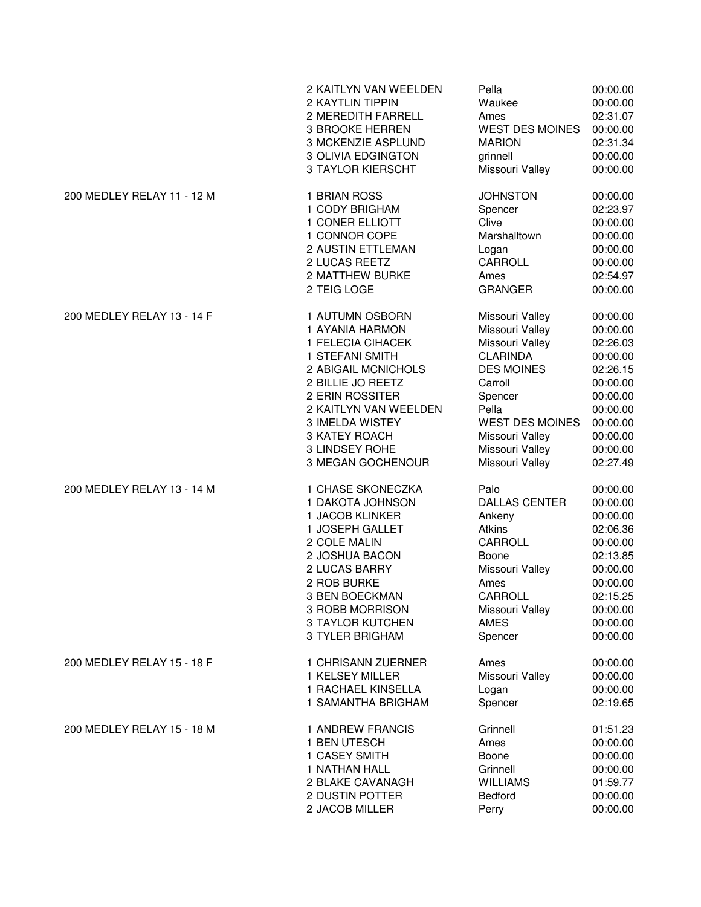|                            | 2 KAITLYN VAN WEELDEN     | Pella                  | 00:00.00 |
|----------------------------|---------------------------|------------------------|----------|
|                            | 2 KAYTLIN TIPPIN          | Waukee                 | 00:00.00 |
|                            | 2 MEREDITH FARRELL        | Ames                   | 02:31.07 |
|                            | 3 BROOKE HERREN           | <b>WEST DES MOINES</b> | 00:00.00 |
|                            | 3 MCKENZIE ASPLUND        | <b>MARION</b>          | 02:31.34 |
|                            | <b>3 OLIVIA EDGINGTON</b> | grinnell               | 00:00.00 |
|                            | <b>3 TAYLOR KIERSCHT</b>  | Missouri Valley        | 00:00.00 |
| 200 MEDLEY RELAY 11 - 12 M | 1 BRIAN ROSS              | <b>JOHNSTON</b>        | 00:00.00 |
|                            | 1 CODY BRIGHAM            | Spencer                | 02:23.97 |
|                            | 1 CONER ELLIOTT           | Clive                  | 00:00.00 |
|                            | 1 CONNOR COPE             | Marshalltown           | 00:00.00 |
|                            | 2 AUSTIN ETTLEMAN         | Logan                  | 00:00.00 |
|                            | 2 LUCAS REETZ             | CARROLL                | 00:00.00 |
|                            | 2 MATTHEW BURKE           | Ames                   | 02:54.97 |
|                            | 2 TEIG LOGE               | <b>GRANGER</b>         | 00:00.00 |
| 200 MEDLEY RELAY 13 - 14 F | 1 AUTUMN OSBORN           | Missouri Valley        | 00:00.00 |
|                            | 1 AYANIA HARMON           | Missouri Valley        | 00:00.00 |
|                            | 1 FELECIA CIHACEK         | Missouri Valley        | 02:26.03 |
|                            | 1 STEFANI SMITH           | <b>CLARINDA</b>        | 00:00.00 |
|                            | 2 ABIGAIL MCNICHOLS       | <b>DES MOINES</b>      | 02:26.15 |
|                            | 2 BILLIE JO REETZ         | Carroll                | 00:00.00 |
|                            | 2 ERIN ROSSITER           | Spencer                | 00:00.00 |
|                            | 2 KAITLYN VAN WEELDEN     | Pella                  | 00:00.00 |
|                            | 3 IMELDA WISTEY           | <b>WEST DES MOINES</b> | 00:00.00 |
|                            | 3 KATEY ROACH             | Missouri Valley        | 00:00.00 |
|                            | 3 LINDSEY ROHE            | Missouri Valley        | 00:00.00 |
|                            | 3 MEGAN GOCHENOUR         | Missouri Valley        | 02:27.49 |
| 200 MEDLEY RELAY 13 - 14 M | 1 CHASE SKONECZKA         | Palo                   | 00:00.00 |
|                            | 1 DAKOTA JOHNSON          | <b>DALLAS CENTER</b>   | 00:00.00 |
|                            | 1 JACOB KLINKER           | Ankeny                 | 00:00.00 |
|                            | 1 JOSEPH GALLET           | <b>Atkins</b>          | 02:06.36 |
|                            | 2 COLE MALIN              | CARROLL                | 00:00.00 |
|                            | 2 JOSHUA BACON            | Boone                  | 02:13.85 |
|                            | 2 LUCAS BARRY             | Missouri Valley        | 00:00.00 |
|                            | 2 ROB BURKE               | Ames                   | 00:00.00 |
|                            | 3 BEN BOECKMAN            | CARROLL                | 02:15.25 |
|                            | 3 ROBB MORRISON           | Missouri Valley        | 00:00.00 |
|                            | <b>3 TAYLOR KUTCHEN</b>   | <b>AMES</b>            | 00:00.00 |
|                            | <b>3 TYLER BRIGHAM</b>    | Spencer                | 00:00.00 |
| 200 MEDLEY RELAY 15 - 18 F | 1 CHRISANN ZUERNER        | Ames                   | 00:00.00 |
|                            | 1 KELSEY MILLER           | Missouri Valley        | 00:00.00 |
|                            | 1 RACHAEL KINSELLA        | Logan                  | 00:00.00 |
|                            | 1 SAMANTHA BRIGHAM        | Spencer                | 02:19.65 |
| 200 MEDLEY RELAY 15 - 18 M | 1 ANDREW FRANCIS          | Grinnell               | 01:51.23 |
|                            | 1 BEN UTESCH              | Ames                   | 00:00.00 |
|                            | 1 CASEY SMITH             | Boone                  | 00:00.00 |
|                            | 1 NATHAN HALL             | Grinnell               | 00:00.00 |
|                            | 2 BLAKE CAVANAGH          | <b>WILLIAMS</b>        | 01:59.77 |
|                            | 2 DUSTIN POTTER           | Bedford                | 00:00.00 |
|                            | 2 JACOB MILLER            | Perry                  | 00:00.00 |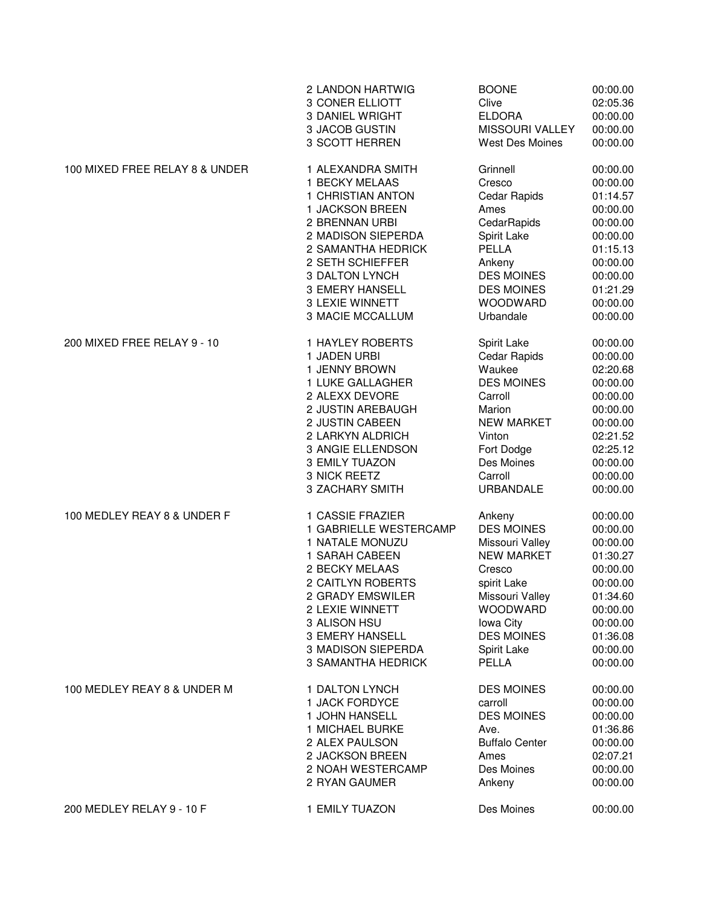|                                | 2 LANDON HARTWIG          | <b>BOONE</b>           | 00:00.00 |
|--------------------------------|---------------------------|------------------------|----------|
|                                | 3 CONER ELLIOTT           | Clive                  | 02:05.36 |
|                                | <b>3 DANIEL WRIGHT</b>    | <b>ELDORA</b>          | 00:00.00 |
|                                | 3 JACOB GUSTIN            | MISSOURI VALLEY        | 00:00.00 |
|                                | 3 SCOTT HERREN            | <b>West Des Moines</b> | 00:00.00 |
| 100 MIXED FREE RELAY 8 & UNDER | 1 ALEXANDRA SMITH         | Grinnell               | 00:00.00 |
|                                | 1 BECKY MELAAS            | Cresco                 | 00:00.00 |
|                                | 1 CHRISTIAN ANTON         | Cedar Rapids           | 01:14.57 |
|                                | 1 JACKSON BREEN           | Ames                   | 00:00.00 |
|                                | 2 BRENNAN URBI            | CedarRapids            | 00:00.00 |
|                                | 2 MADISON SIEPERDA        | Spirit Lake            | 00:00.00 |
|                                | 2 SAMANTHA HEDRICK        | PELLA                  | 01:15.13 |
|                                |                           |                        |          |
|                                | 2 SETH SCHIEFFER          | Ankeny                 | 00:00.00 |
|                                | 3 DALTON LYNCH            | <b>DES MOINES</b>      | 00:00.00 |
|                                | 3 EMERY HANSELL           | <b>DES MOINES</b>      | 01:21.29 |
|                                | 3 LEXIE WINNETT           | <b>WOODWARD</b>        | 00:00.00 |
|                                | <b>3 MACIE MCCALLUM</b>   | Urbandale              | 00:00.00 |
| 200 MIXED FREE RELAY 9 - 10    | <b>1 HAYLEY ROBERTS</b>   | Spirit Lake            | 00:00.00 |
|                                | 1 JADEN URBI              | Cedar Rapids           | 00:00.00 |
|                                | 1 JENNY BROWN             | Waukee                 | 02:20.68 |
|                                | 1 LUKE GALLAGHER          | <b>DES MOINES</b>      | 00:00.00 |
|                                | 2 ALEXX DEVORE            | Carroll                | 00:00.00 |
|                                | 2 JUSTIN AREBAUGH         | Marion                 | 00:00.00 |
|                                | 2 JUSTIN CABEEN           | <b>NEW MARKET</b>      | 00:00.00 |
|                                | 2 LARKYN ALDRICH          | Vinton                 | 02:21.52 |
|                                | 3 ANGIE ELLENDSON         | Fort Dodge             | 02:25.12 |
|                                | 3 EMILY TUAZON            | Des Moines             | 00:00.00 |
|                                | 3 NICK REETZ              | Carroll                | 00:00.00 |
|                                | 3 ZACHARY SMITH           | <b>URBANDALE</b>       | 00:00.00 |
| 100 MEDLEY REAY 8 & UNDER F    | 1 CASSIE FRAZIER          | Ankeny                 | 00:00.00 |
|                                | 1 GABRIELLE WESTERCAMP    | <b>DES MOINES</b>      | 00:00.00 |
|                                | 1 NATALE MONUZU           | Missouri Valley        | 00:00.00 |
|                                | 1 SARAH CABEEN            | <b>NEW MARKET</b>      | 01:30.27 |
|                                | 2 BECKY MELAAS            | Cresco                 | 00:00.00 |
|                                | 2 CAITLYN ROBERTS         | spirit Lake            | 00:00.00 |
|                                | 2 GRADY EMSWILER          | Missouri Valley        | 01:34.60 |
|                                | 2 LEXIE WINNETT           | WOODWARD               | 00:00.00 |
|                                | 3 ALISON HSU              | Iowa City              | 00:00.00 |
|                                | 3 EMERY HANSELL           | <b>DES MOINES</b>      | 01:36.08 |
|                                | 3 MADISON SIEPERDA        | Spirit Lake            | 00:00.00 |
|                                | <b>3 SAMANTHA HEDRICK</b> | PELLA                  | 00:00.00 |
| 100 MEDLEY REAY 8 & UNDER M    | 1 DALTON LYNCH            | <b>DES MOINES</b>      | 00:00.00 |
|                                | 1 JACK FORDYCE            | carroll                | 00:00.00 |
|                                | 1 JOHN HANSELL            | <b>DES MOINES</b>      | 00:00.00 |
|                                | 1 MICHAEL BURKE           | Ave.                   | 01:36.86 |
|                                | 2 ALEX PAULSON            |                        |          |
|                                |                           | <b>Buffalo Center</b>  | 00:00.00 |
|                                | 2 JACKSON BREEN           | Ames                   | 02:07.21 |
|                                | 2 NOAH WESTERCAMP         | Des Moines             | 00:00.00 |
|                                | 2 RYAN GAUMER             | Ankeny                 | 00:00.00 |
| 200 MEDLEY RELAY 9 - 10 F      | 1 EMILY TUAZON            | Des Moines             | 00:00.00 |